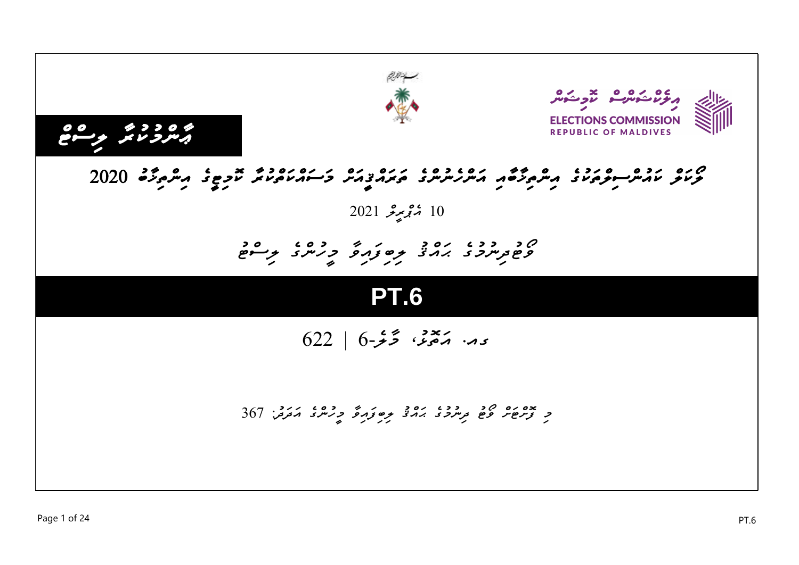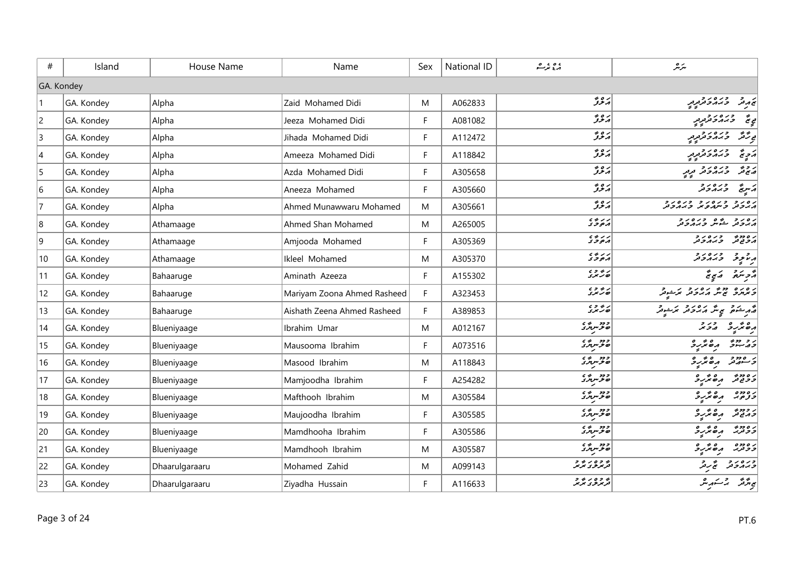| #              | Island     | House Name     | Name                        | Sex         | National ID | ، ه ، بر <u>م</u>                                   | ىئرىتر                                                                                                                                                                                                                         |
|----------------|------------|----------------|-----------------------------|-------------|-------------|-----------------------------------------------------|--------------------------------------------------------------------------------------------------------------------------------------------------------------------------------------------------------------------------------|
| GA. Kondey     |            |                |                             |             |             |                                                     |                                                                                                                                                                                                                                |
| -1             | GA. Kondey | Alpha          | Zaid Mohamed Didi           | M           | A062833     | برە پىر                                             | את ביורכתית                                                                                                                                                                                                                    |
| $\overline{2}$ | GA. Kondey | Alpha          | Jeeza Mohamed Didi          | F           | A081082     | ره پی                                               |                                                                                                                                                                                                                                |
| 3              | GA. Kondey | Alpha          | Jihada Mohamed Didi         | F           | A112472     | بروژ                                                | ە ئەقرىق ئەيدىن ئەيدىن ئەيدىن ئەيدىن ئەيدىن ئەيدىن ئەيدىن ئەيدىن ئەيدىن ئەيدىن ئەيدىن ئەيدىن ئەيدىن ئەيدىن ئە<br>ئايدىن ئەيدىن ئەيدىن ئەيدىن ئەيدىن ئەيدىن ئەيدىن ئەيدىن ئەيدىن ئەيدىن ئەيدىن ئەيدىن ئەيدىن ئەيدىن ئايدىن ئۇنى |
| 4              | GA. Kondey | Alpha          | Ameeza Mohamed Didi         | F           | A118842     | پره پيچ                                             |                                                                                                                                                                                                                                |
| 5              | GA. Kondey | Alpha          | Azda Mohamed Didi           | F           | A305658     | پره پيچ                                             | ر و محمد در ۱۵۷۵ مربر<br>محمد حمد حمد توبر                                                                                                                                                                                     |
| 6              | GA. Kondey | Alpha          | Aneeza Mohamed              | $\mathsf F$ | A305660     | پر وی                                               | أرسريج وبرورو                                                                                                                                                                                                                  |
| 7              | GA. Kondey | Alpha          | Ahmed Munawwaru Mohamed     | M           | A305661     | بروژ                                                | נסנד בנסנד בנסנד<br>הגבת בית <i>ופיק בגוב</i> ת                                                                                                                                                                                |
| $^{\dagger}8$  | GA. Kondey | Athamaage      | Ahmed Shan Mohamed          | M           | A265005     | بر بر بر بر<br>بر بر بر بر                          |                                                                                                                                                                                                                                |
| 9              | GA. Kondey | Athamaage      | Amjooda Mohamed             | F           | A305369     | ر ر د »<br>پره <del>ر</del> د                       | ג סמכי הג סגר<br>הכבית כגהכת                                                                                                                                                                                                   |
| $ 10\rangle$   | GA. Kondey | Athamaage      | Ikleel Mohamed              | M           | A305370     | ر ر د »<br>پره <del>ر</del> ر                       | ورثوقى وبروبرو                                                                                                                                                                                                                 |
| 11             | GA. Kondey | Bahaaruge      | Aminath Azeeza              | F           | A155302     | ر پر د ،<br>ن <i>ه ر</i> بر د                       | أزويتم أربيء                                                                                                                                                                                                                   |
| 12             | GA. Kondey | Bahaaruge      | Mariyam Zoona Ahmed Rasheed | F           | A323453     | پر بو ءِ<br>  جو شميري                              | קסקס מישי קסקיר קביבת<br>קידור היית ההכת הקבת                                                                                                                                                                                  |
| $ 13\rangle$   | GA. Kondey | Bahaaruge      | Aishath Zeena Ahmed Rasheed | F           | A389853     | ر پر د ،<br>ن <i>ن</i> تر د                         | و مشرق بی شرکت در در مرکب در                                                                                                                                                                                                   |
| 14             | GA. Kondey | Blueniyaage    | Ibrahim Umar                | M           | A012167     | جوجو پري                                            | وه پر در در                                                                                                                                                                                                                    |
| 15             | GA. Kondey | Blueniyaage    | Mausooma Ibrahim            | F           | A073516     | و دو به د پر<br><mark>ن نو</mark> سر <del>د</del> ک | ەھ ئۆر ۋ<br>ر د دوء                                                                                                                                                                                                            |
| 16             | GA. Kondey | Blueniyaage    | Masood Ibrahim              | M           | A118843     | و دو به دی<br><mark>نه ن</mark> و سرچر <sub>ۍ</sub> | ەھ ئرىرى<br>ر ۱۶۶۵ و<br>تر سوړنور                                                                                                                                                                                              |
| 17             | GA. Kondey | Blueniyaage    | Mamjoodha Ibrahim           | F           | A254282     | و دو مرکز <sub>ک</sub>                              | برە ئۆرۈ<br>ر ە دوپر<br>تر تر قر                                                                                                                                                                                               |
| 18             | GA. Kondey | Blueniyaage    | Mafthooh Ibrahim            | M           | A305584     | و دو به د پر<br>جا محر سرچري                        | دە ئەرچ<br>ر ه دده<br><del>ر</del> نو مړ                                                                                                                                                                                       |
| 19             | GA. Kondey | Blueniyaage    | Maujoodha Ibrahim           | F           | A305585     | و دو سر د ،<br>جا تو سر پر د                        | برە ئۆر ۋ<br>ر و دون<br>تر د تح تگر                                                                                                                                                                                            |
| 20             | GA. Kondey | Blueniyaage    | Mamdhooha Ibrahim           | F           | A305586     | و دو برخ<br><mark>صخ<sup>مبر</sup>مر</mark> د       | ە ھەمرىر 2<br>برھىمرىر 3<br>ر ه دد و                                                                                                                                                                                           |
| 21             | GA. Kondey | Blueniyaage    | Mamdhooh Ibrahim            | M           | A305587     | و دو سر د ،<br>جا تو سر پر د                        | ەرھەترىر <sup>ى</sup><br>ر ه دوه<br>تر تر بر                                                                                                                                                                                   |
| 22             | GA. Kondey | Dhaarulgaraaru | Mohamed Zahid               | M           | A099143     | ر وه ر د و<br>تربر و پر پر                          | ورەر دىر                                                                                                                                                                                                                       |
| 23             | GA. Kondey | Dhaarulgaraaru | Ziyadha Hussain             | F           | A116633     | ر وه ر د و<br>تربر و تربر                           | ىم ئۇقر برگە ئىر                                                                                                                                                                                                               |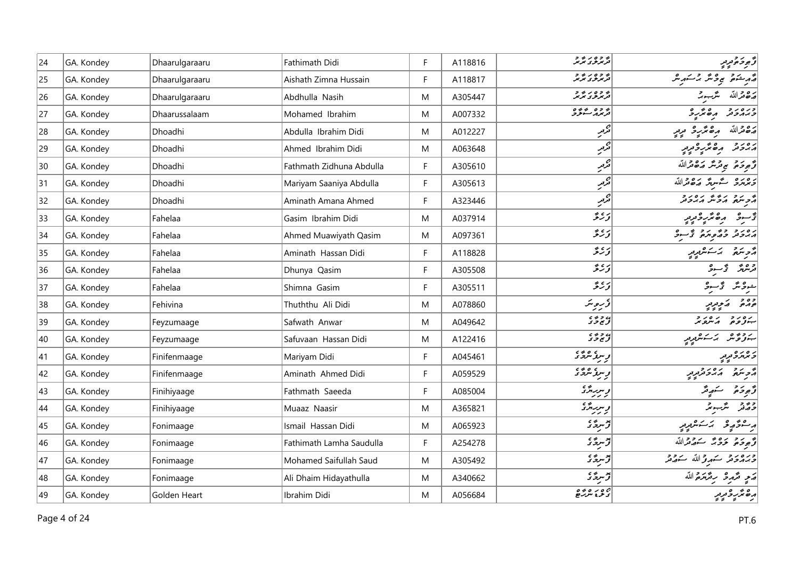| 24 | GA. Kondey | Dhaarulgaraaru | Fathimath Didi           | F  | A118816 | ر وه د ر و<br>تربر و بربر              | ا تو بر د کرد.<br>اگر مرکب کو تاکی                                                                                                                                                                                               |
|----|------------|----------------|--------------------------|----|---------|----------------------------------------|----------------------------------------------------------------------------------------------------------------------------------------------------------------------------------------------------------------------------------|
| 25 | GA. Kondey | Dhaarulgaraaru | Aishath Zimna Hussain    | F. | A118817 | ر وه د ر و<br>تربر و بربر              | مەر شەر بىر جو مەر ئىسكىر مىر                                                                                                                                                                                                    |
| 26 | GA. Kondey | Dhaarulgaraaru | Abdhulla Nasih           | M  | A305447 | ر وه د ر و<br>تربر و بربر              | مَدْ هُمْرَ اللّهُ مُدَّسِيدٌ                                                                                                                                                                                                    |
| 27 | GA. Kondey | Dhaarussalaam  | Mohamed Ibrahim          | M  | A007332 | ء وه روده<br>تربر پر سگوگر             | ورەرو مەئرى                                                                                                                                                                                                                      |
| 28 | GA. Kondey | Dhoadhi        | Abdulla Ibrahim Didi     | M  | A012227 | اچھر                                   | برە داللە برەتمەر توپر                                                                                                                                                                                                           |
| 29 | GA. Kondey | Dhoadhi        | Ahmed Ibrahim Didi       | M  | A063648 | فتمعر                                  | ג סג כ"ס מיטורית ביות.<br>גג כי מיטור מיטורית ביות.<br>הגבית                                                                                                                                                                     |
| 30 | GA. Kondey | Dhoadhi        | Fathmath Zidhuna Abdulla | F  | A305610 | لقمير                                  | و برد و ديگر مركز الله                                                                                                                                                                                                           |
| 31 | GA. Kondey | Dhoadhi        | Mariyam Saaniya Abdulla  | F  | A305613 | اچ<br>محمد                             | أده رو گريد ره قرالله                                                                                                                                                                                                            |
| 32 | GA. Kondey | Dhoadhi        | Aminath Amana Ahmed      | F. | A323446 | اچ<br>محمد                             | ה כ מי מי מי מי כי היו היו בי היו היו בי היו היו בי היו בי היו בי היו בי היו בי היו בי היו בי היו בי היו בי הי<br>היו בי היו היו היו היו היו בי היו בי היו בי היו בי היו בי היו בי היו בי היו בי היו בי היו בי היו בי היו בי היו |
| 33 | GA. Kondey | Fahelaa        | Gasim Ibrahim Didi       | M  | A037914 | تزری                                   | تخ سود وە ئۇر ۋىرىر                                                                                                                                                                                                              |
| 34 | GA. Kondey | Fahelaa        | Ahmed Muawiyath Qasim    | M  | A097361 | تزری                                   |                                                                                                                                                                                                                                  |
| 35 | GA. Kondey | Fahelaa        | Aminath Hassan Didi      | F  | A118828 | تزری                                   | ۇ ئەستىق ئەسكەتلەر بىر                                                                                                                                                                                                           |
| 36 | GA. Kondey | Fahelaa        | Dhunya Qasim             | F  | A305508 | تزری                                   | ترىرى ئۇسىۋ                                                                                                                                                                                                                      |
| 37 | GA. Kondey | Fahelaa        | Shimna Gasim             | F  | A305511 | تزری                                   | جود والمحاسو                                                                                                                                                                                                                     |
| 38 | GA. Kondey | Fehivina       | Thuththu Ali Didi        | M  | A078860 | ۇروپۇ                                  | وه د کوترتر<br>اموره د کوترتر                                                                                                                                                                                                    |
| 39 | GA. Kondey | Feyzumaage     | Safwath Anwar            | M  | A049642 | پر و د پر<br>  تو می تو ی              | رەرد رەرد                                                                                                                                                                                                                        |
| 40 | GA. Kondey | Feyzumaage     | Safuvaan Hassan Didi     | M  | A122416 | ړ، د د ،<br>تو بع تر ی                 | بەرۋە ئەسەئىرىر                                                                                                                                                                                                                  |
| 41 | GA. Kondey | Finifenmaage   | Mariyam Didi             | F. | A045461 | اربىدىغ                                | ر ٥ ر ٥ در در<br>5 بر بر 5 در در                                                                                                                                                                                                 |
| 42 | GA. Kondey | Finifenmaage   | Aminath Ahmed Didi       | F  | A059529 | اوسۇمغۇ                                | י<br>הכיתה הכל התעת                                                                                                                                                                                                              |
| 43 | GA. Kondey | Finihiyaage    | Fathmath Saeeda          | F  | A085004 | و سربر پژی<br>زیر بر                   | ۇۋۇۋە سەر ئۇ                                                                                                                                                                                                                     |
| 44 | GA. Kondey | Finihiyaage    | Muaaz Naasir             | M  | A365821 | او مور پرچ<br>او مور پرچ               | و د و په شوید د                                                                                                                                                                                                                  |
| 45 | GA. Kondey | Fonimaage      | Ismail Hassan Didi       | M  | A065923 | بر<br>تر سرچ <sup>ی</sup>              | ر قۇرۇ بەسەربىر                                                                                                                                                                                                                  |
| 46 | GA. Kondey | Fonimaage      | Fathimath Lamha Saudulla | F  | A254278 | پر<br>ترسرچ <sup>ی</sup>               | وَجِعَةٍ وَحَدَّثَ سَهْدَ مَدَاللَّهُ                                                                                                                                                                                            |
| 47 | GA. Kondey | Fonimaage      | Mohamed Saifullah Saud   | M  | A305492 | ترسرچء                                 | ورەرو سەرقاللە سەرو                                                                                                                                                                                                              |
| 48 | GA. Kondey | Fonimaage      | Ali Dhaim Hidayathulla   | M  | A340662 | بر<br>ترسرچری                          | وَسِمٍ مُزْمِرِدٌ رِمُزْمَرْمُ اللَّهُ                                                                                                                                                                                           |
| 49 | GA. Kondey | Golden Heart   | Ibrahim Didi             | M  | A056684 | ە يەر يەر يەر<br>ئەخرى ئىر <i>ر</i> ىغ | ەر ھەتئەر 2 دىرىر<br>ر                                                                                                                                                                                                           |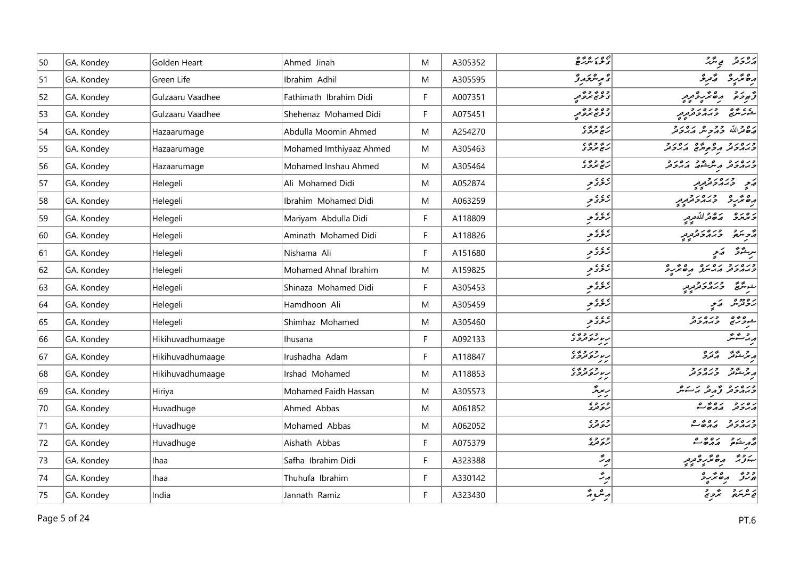| 50 | GA. Kondey | Golden Heart     | Ahmed Jinah             | M  | A305352 | ? و ر ه و ه<br>  د نو ۽ سرريح                                                                                                                                                                                                  | پروتر پرسمبر                                                                                                             |
|----|------------|------------------|-------------------------|----|---------|--------------------------------------------------------------------------------------------------------------------------------------------------------------------------------------------------------------------------------|--------------------------------------------------------------------------------------------------------------------------|
| 51 | GA. Kondey | Green Life       | Ibrahim Adhil           | M  | A305595 | <sub>ۇ مو</sub> يۇ <sub>م</sub> رۇ                                                                                                                                                                                             | رە ئرىر ئىرگى                                                                                                            |
| 52 | GA. Kondey | Gulzaaru Vaadhee | Fathimath Ibrahim Didi  | F. | A007351 | و ه چ چ چې په کليمو کليمو په په کليمو په کليمو په کليمو کليمو کليمو کليمو کليمو کليمو کليمو کليمو کليمو کليمو<br>د کليمو کليمو کليمو کليمو کليمو کليمو کليمو کليمو کليمو کليمو کليمو کليمو کليمو کليمو کليمو کليمو کليمو کليمو | توجوخ<br>ره پژر د ورور<br>ره پژر د ورور                                                                                  |
| 53 | GA. Kondey | Gulzaaru Vaadhee | Shehenaz Mohamed Didi   | F. | A075451 | وه پر و و<br>  د څرنځ مرغ وړ                                                                                                                                                                                                   | ے ہے جو حدہ رحمد ہو۔<br>شرکتری حدد حدہ ہے                                                                                |
| 54 | GA. Kondey | Hazaarumage      | Abdulla Moomin Ahmed    | M  | A254270 | ر ۶ و ۶ ی<br>رسخ مرو ی                                                                                                                                                                                                         | ره والله وو مه رور و<br>مصرالله ومروس مهرومر                                                                             |
| 55 | GA. Kondey | Hazaarumage      | Mohamed Imthiyaaz Ahmed | M  | A305463 | ر ۶ و ۶ ی<br>رسخ مرو ی                                                                                                                                                                                                         | כנסגב ס שם גםגב<br>במגבת גבפתם גמבת                                                                                      |
| 56 | GA. Kondey | Hazaarumage      | Mohamed Inshau Ahmed    | M  | A305464 | ر پر و پر ی<br>تریخ بودی                                                                                                                                                                                                       | כנסגב גם שב גםגב<br>כמהכת היישיב המכת                                                                                    |
| 57 | GA. Kondey | Helegeli         | Ali Mohamed Didi        | M  | A052874 | <sup>ى ي</sup> ئى ئىر                                                                                                                                                                                                          | پر د د د د د د د د د                                                                                                     |
| 58 | GA. Kondey | Helegeli         | Ibrahim Mohamed Didi    | M  | A063259 | رءء                                                                                                                                                                                                                            |                                                                                                                          |
| 59 | GA. Kondey | Helegeli         | Mariyam Abdulla Didi    | F  | A118809 | رءء                                                                                                                                                                                                                            | ره ره بره واللّه مرمر                                                                                                    |
| 60 | GA. Kondey | Helegeli         | Aminath Mohamed Didi    | F. | A118826 | رءء                                                                                                                                                                                                                            | - 1013 - 1014<br>הכיתם - 1015 בתעת                                                                                       |
| 61 | GA. Kondey | Helegeli         | Nishama Ali             | F. | A151680 | [ديمور                                                                                                                                                                                                                         | سرڪري کي په                                                                                                              |
| 62 | GA. Kondey | Helegeli         | Mohamed Ahnaf Ibrahim   | M  | A159825 | [دې د                                                                                                                                                                                                                          | כנסגב גם גם הסתיב                                                                                                        |
| 63 | GA. Kondey | Helegeli         | Shinaza Mohamed Didi    | F  | A305453 | ی ی ی<br>رنگوی مو                                                                                                                                                                                                              | جوشج ورەرەتوپو                                                                                                           |
| 64 | GA. Kondey | Helegeli         | Hamdhoon Ali            | M  | A305459 | <sup>ى</sup> ئى ئى ئى                                                                                                                                                                                                          | برەددە كەبى                                                                                                              |
| 65 | GA. Kondey | Helegeli         | Shimhaz Mohamed         | M  | A305460 | إيجاء                                                                                                                                                                                                                          | و ر ه ر د<br>تر پر ژ تر<br>ے و <i>گ</i> رم                                                                               |
| 66 | GA. Kondey | Hikihuvadhumaage | Ihusana                 | F  | A092133 | ار پر حرج دی<br>پر پر صوفرد د                                                                                                                                                                                                  | ەرجەشىر                                                                                                                  |
| 67 | GA. Kondey | Hikihuvadhumaage | Irushadha Adam          | F. | A118847 | ارىر 25 دوم.<br>سىر                                                                                                                                                                                                            | د پژشتگر محمده                                                                                                           |
| 68 | GA. Kondey | Hikihuvadhumaage | Irshad Mohamed          | M  | A118853 | ر ر و د و د ،<br>ر ر رو ترو د<br>--                                                                                                                                                                                            | د برخود دره در د                                                                                                         |
| 69 | GA. Kondey | Hiriya           | Mohamed Faidh Hassan    | M  | A305573 | ر بردگر                                                                                                                                                                                                                        | ورەرو ۋەپى ئەسەر                                                                                                         |
| 70 | GA. Kondey | Huvadhuge        | Ahmed Abbas             | M  | A061852 | و ر و ،<br>روترد                                                                                                                                                                                                               | رەرو رەپرە                                                                                                               |
| 71 | GA. Kondey | Huvadhuge        | Mohamed Abbas           | M  | A062052 | و ر و ،<br>روترد                                                                                                                                                                                                               | ورەرد رەپرە<br>جەمەدىر مەمەت                                                                                             |
| 72 | GA. Kondey | Huvadhuge        | Aishath Abbas           | F  | A075379 | و ر و ،<br>رو در د                                                                                                                                                                                                             | $\overset{\circ}{\sim}$ $\overset{\circ}{\circ}$ $\overset{\circ}{\sim}$ $\overset{\circ}{\sim}$ $\overset{\circ}{\sim}$ |
| 73 | GA. Kondey | Ihaa             | Safha Ibrahim Didi      | F  | A323388 | وشح                                                                                                                                                                                                                            | ىبە ئەرمىيە<br>ەر ھەترىر 3 دىرىر<br>ر                                                                                    |
| 74 | GA. Kondey | Ihaa             | Thuhufa Ibrahim         | F  | A330142 | برمج                                                                                                                                                                                                                           | موڻ پڻ و<br>و و د<br>جى ترگ                                                                                              |
| 75 | GA. Kondey | India            | Jannath Ramiz           | F  | A323430 | وبثندة                                                                                                                                                                                                                         | ر عريز ۽ عرضي م                                                                                                          |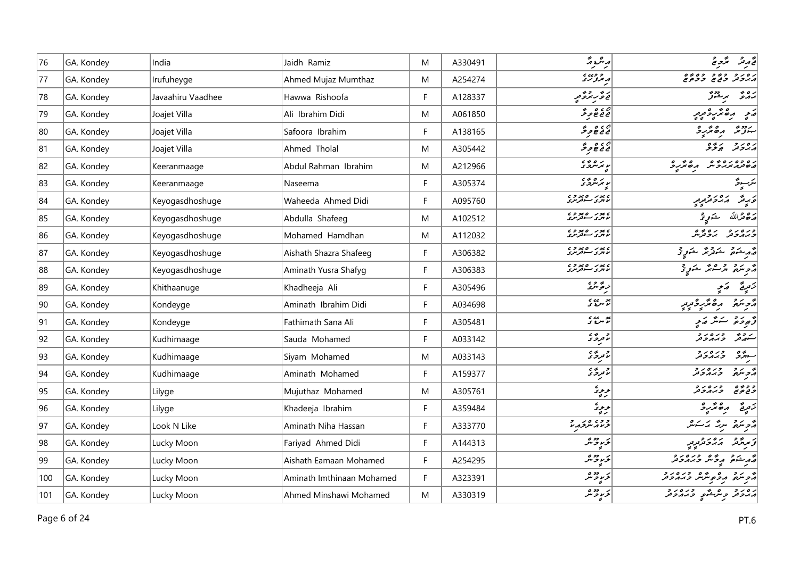| 76  | GA. Kondey | India             | Jaidh Ramiz               | M           | A330491 | وشندة                                     | قَدِيرٌ مُرْحِرِ ج                              |
|-----|------------|-------------------|---------------------------|-------------|---------|-------------------------------------------|-------------------------------------------------|
| 77  | GA. Kondey | Irufuheyge        | Ahmed Mujaz Mumthaz       | M           | A254274 | و وړ، ،<br>پر بول <i>ر</i> ی              | ر و ر د د د د د وه و و<br> مدرونر و نئ و و وی   |
| 78  | GA. Kondey | Javaahiru Vaadhee | Hawwa Rishoofa            | $\mathsf F$ | A128337 | بر څر بر څو مړ                            | برە بور بېر دېم<br>برابرو بور بېر               |
| 79  | GA. Kondey | Joajet Villa      | Ali Ibrahim Didi          | M           | A061850 | <br>  خ خ ح ح <sub>ر</sub> مَّر           | ړې ده تر دوبر                                   |
| 80  | GA. Kondey | Joajet Villa      | Safoora Ibrahim           | F           | A138165 | ان ۽ ڇاهو پڙ                              | سەدىرىپە<br>مەھمەرى                             |
| 81  | GA. Kondey | Joajet Villa      | Ahmed Tholal              | M           | A305442 | چ پ <sub>چ</sub> ھ <sub>ون</sub> و        | رەر دىرە                                        |
| 82  | GA. Kondey | Keeranmaage       | Abdul Rahman Ibrahim      | M           | A212966 | ر پر ه د و ،<br>پوسرچونو                  | נסכם נסגים הסתנכ                                |
| 83  | GA. Kondey | Keeranmaage       | Naseema                   | F           | A305374 | بإعر مردمى                                | لترسوقه                                         |
| 84  | GA. Kondey | Keyogasdhoshuge   | Waheeda Ahmed Didi        | F           | A095760 | ے پور ے پو و ے<br>ما آئری سسوفرس          | .<br>كۆپەتگە كەندە كەردىرىيە                    |
| 85  | GA. Kondey | Keyogasdhoshuge   | Abdulla Shafeeg           | M           | A102512 | ن پور ہے جو و تا<br>ما آئری سسوفر سری     | حدة الله خوديج                                  |
| 86  | GA. Kondey | Keyogasdhoshuge   | Mohamed Hamdhan           | M           | A112032 | ے پور ے پو و ے<br>ما آئری سندھرس          | ورەرو رەپەە                                     |
| 87  | GA. Kondey | Keyogasdhoshuge   | Aishath Shazra Shafeeg    | F           | A306382 | ه پور ه پو و ه<br>ما دری سوفرمری          | وگار ڪارو گار جي ڪاري گا                        |
| 88  | GA. Kondey | Keyogasdhoshuge   | Aminath Yusra Shafyg      | F           | A306383 | ن پیوبر ان میتوانده<br>ما افری مسئولتوسری | ה<br>הקייטה וקרית בולי                          |
| 89  | GA. Kondey | Khithaanuge       | Khadheeja Ali             | $\mathsf F$ | A305496 | ر پر و ،<br>زەڭرىنزى                      | تزميرتج    مرّحي                                |
| 90  | GA. Kondey | Kondeyge          | Aminath Ibrahim Didi      | F           | A034698 | بر دید د<br>ما سرچ ی                      | أأروسهم وكالمروسي                               |
| 91  | GA. Kondey | Kondeyge          | Fathimath Sana Ali        | F           | A305481 | بر دید ت<br>ما سرچ ی                      | ق پر ده سنگ مکم                                 |
| 92  | GA. Kondey | Kudhimaage        | Sauda Mohamed             | F           | A033142 | د وره و.<br>ما فرقری                      | رووس ورەرو                                      |
| 93  | GA. Kondey | Kudhimaage        | Siyam Mohamed             | M           | A033143 | د و دی<br>ما فرقری                        | سوه وره رو                                      |
| 94  | GA. Kondey | Kudhimaage        | Aminath Mohamed           | F           | A159377 | د ورځ<br>مامرچ                            | و ره ر د<br><i>د ب</i> رگرفر<br>أثرجه تنبعى     |
| 95  | GA. Kondey | Lilyge            | Mujuthaz Mohamed          | M           | A305761 | موموتى<br>مرتو                            | و رە ر د<br>تر پروتر<br>و و ده ه<br>تر تع ځی    |
| 96  | GA. Kondey | Lilyge            | Khadeeja Ibrahim          | F           | A359484 | مومود<br>مرتو                             | تَامِيعٌ مِنْ الْمُحَمَّدِةِ                    |
| 97  | GA. Kondey | Look N Like       | Aminath Niha Hassan       | F           | A333770 | و د ، ه د د .                             | مەمەسىم سرىئە ئەسەھ                             |
| 98  | GA. Kondey | Lucky Moon        | Fariyad Ahmed Didi        | F           | A144313 | ځېږده.                                    | كر بروگر مركز و ترترير<br>كر بروگر مركز و ترتري |
| 99  | GA. Kondey | Lucky Moon        | Aishath Eamaan Mohamed    | F           | A254295 | ئەرەبىر<br>                               | مر شو د و و د و د و                             |
| 100 | GA. Kondey | Lucky Moon        | Aminath Imthinaan Mohamed | F           | A323391 | ئەرەج بىر<br>                             | أأديكم أرده بأكد وبرادر                         |
| 101 | GA. Kondey | Lucky Moon        | Ahmed Minshawi Mohamed    | M           | A330319 | لخربود مر                                 | أرەر د پرېشو درەر د                             |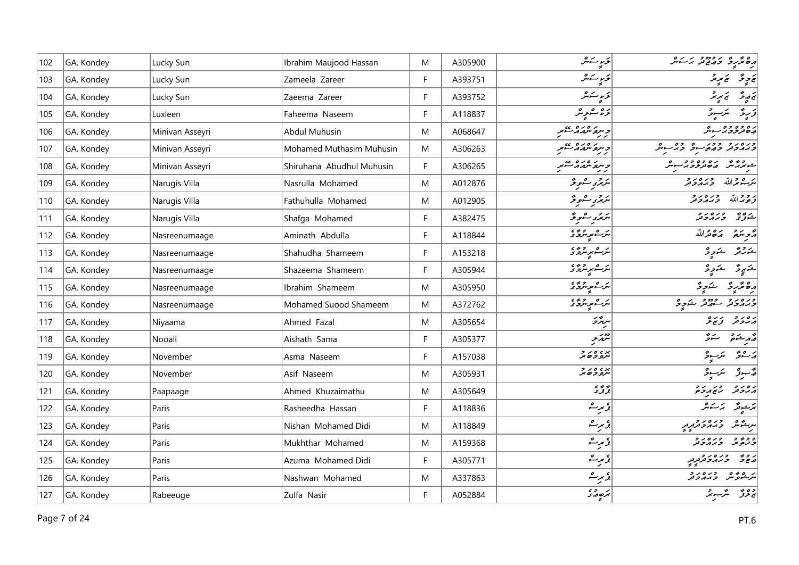| 102 | GA. Kondey | Lucky Sun       | Ibrahim Maujood Hassan    | M  | A305900 | ئەربە ئەنگە                                   | مەھەر بەر بەر بەر بار                                                                                                                                                                                                                                                                                                                                                                        |
|-----|------------|-----------------|---------------------------|----|---------|-----------------------------------------------|----------------------------------------------------------------------------------------------------------------------------------------------------------------------------------------------------------------------------------------------------------------------------------------------------------------------------------------------------------------------------------------------|
| 103 | GA. Kondey | Lucky Sun       | Zameela Zareer            | F  | A393751 | <sub>قۇرىي</sub> مىتىر                        |                                                                                                                                                                                                                                                                                                                                                                                              |
| 104 | GA. Kondey | Lucky Sun       | Zaeema Zareer             | F  | A393752 | دَرِيدَ مَشْر                                 | $\frac{1}{2} \frac{1}{2} \frac{1}{2} \frac{1}{2} \frac{1}{2} \frac{1}{2} \frac{1}{2} \frac{1}{2} \frac{1}{2} \frac{1}{2} \frac{1}{2} \frac{1}{2} \frac{1}{2} \frac{1}{2} \frac{1}{2} \frac{1}{2} \frac{1}{2} \frac{1}{2} \frac{1}{2} \frac{1}{2} \frac{1}{2} \frac{1}{2} \frac{1}{2} \frac{1}{2} \frac{1}{2} \frac{1}{2} \frac{1}{2} \frac{1}{2} \frac{1}{2} \frac{1}{2} \frac{1}{2} \frac{$ |
| 105 | GA. Kondey | Luxleen         | Faheema Naseem            | F  | A118837 | ئەنۇرىقىد                                     | ۇرۇ سەردۇ                                                                                                                                                                                                                                                                                                                                                                                    |
| 106 | GA. Kondey | Minivan Asseyri | Abdul Muhusin             | M  | A068647 | ا دېبرې مرد هغه د کليمبر<br>سرچ مرد کر کليمبر | ره وه وه<br>ه <i>ه ترو و ب</i>                                                                                                                                                                                                                                                                                                                                                               |
| 107 | GA. Kondey | Minivan Asseyri | Mohamed Muthasim Muhusin  | M  | A306263 | د سره شده و سند بر<br>  د سره شمهر د سند بر   |                                                                                                                                                                                                                                                                                                                                                                                              |
| 108 | GA. Kondey | Minivan Asseyri | Shiruhana Abudhul Muhusin | F  | A306265 | ا دېږې شمه کره دي.<br>په سرچ شمه کره شومو     | دوسر ده ده دور در در کار در در است.<br>مشویربر شرح میکن در در در سویس                                                                                                                                                                                                                                                                                                                        |
| 109 | GA. Kondey | Narugis Villa   | Nasrulla Mohamed          | M  | A012876 | ىئر <i>پرېمو سىمو</i> ئۇ                      | يربه پرالله وبره دو                                                                                                                                                                                                                                                                                                                                                                          |
| 110 | GA. Kondey | Narugis Villa   | Fathuhulla Mohamed        | M  | A012905 | يَدَ جَمْعٍ عَظَمَ مِنْ تَهْ                  | ترقرتر الله<br>و ره ر و<br>تر <i>پر</i> و تر                                                                                                                                                                                                                                                                                                                                                 |
| 111 | GA. Kondey | Narugis Villa   | Shafqa Mohamed            | F  | A382475 | ىئرىمزىر مشعرىتخه                             | شۇق دىرەرد                                                                                                                                                                                                                                                                                                                                                                                   |
| 112 | GA. Kondey | Nasreenumaage   | Aminath Abdulla           | F. | A118844 | ىكەت <i>مەيدى</i> رى<br>مەر سىر سرىرى         | وحريته وكاله الله                                                                                                                                                                                                                                                                                                                                                                            |
| 113 | GA. Kondey | Nasreenumaage   | Shahudha Shameem          | F  | A153218 | ىكەت بەر بىر بىرى<br>ئ                        | شَرْرُتُمْ شَوِرْ                                                                                                                                                                                                                                                                                                                                                                            |
| 114 | GA. Kondey | Nasreenumaage   | Shazeema Shameem          | F  | A305944 | ىر مەمر بىرى <i>دى</i>                        | شَهِرَّ شَوِرْ                                                                                                                                                                                                                                                                                                                                                                               |
| 115 | GA. Kondey | Nasreenumaage   | Ibrahim Shameem           | M  | A305950 | ىر ق <sub>ىر بىر</sub> تەرەپ                  | رەپرىر شەرە                                                                                                                                                                                                                                                                                                                                                                                  |
| 116 | GA. Kondey | Nasreenumaage   | Mohamed Suood Shameem     | M  | A372762 | ىكەت <i>مەيدى</i> رى<br>مەر سىر سرىرى         | وره رو ودوو در و                                                                                                                                                                                                                                                                                                                                                                             |
| 117 | GA. Kondey | Niyaama         | Ahmed Fazal               | M  | A305654 | سردگر                                         | رەر دىرە                                                                                                                                                                                                                                                                                                                                                                                     |
| 118 | GA. Kondey | Nooali          | Aishath Sama              | F  | A305377 | يتدمر                                         | ۇرمىئو كۆ                                                                                                                                                                                                                                                                                                                                                                                    |
| 119 | GA. Kondey | November        | Asma Naseem               | F  | A157038 | یر ، ه ر د<br>سرو ژخ <i>ه ب</i> ر             | أرام من المراسور                                                                                                                                                                                                                                                                                                                                                                             |
| 120 | GA. Kondey | November        | Asif Naseem               | M  | A305931 | پر ی ه ر د<br>سرو ژخه نمر                     | ۇسىرۇ سىسوۋ                                                                                                                                                                                                                                                                                                                                                                                  |
| 121 | GA. Kondey | Paapaage        | Ahmed Khuzaimathu         | M  | A305649 | ی بر بر<br>تر تر تر                           | أرور ويحمد والمحمدة                                                                                                                                                                                                                                                                                                                                                                          |
| 122 | GA. Kondey | Paris           | Rasheedha Hassan          | F  | A118836 | دیریہ                                         | ىكەشونگە كەسكەنل                                                                                                                                                                                                                                                                                                                                                                             |
| 123 | GA. Kondey | Paris           | Nishan Mohamed Didi       | M  | A118849 | ۇ بر م                                        | <br>  سرشوش وبروروترترتر<br>  سرشوش                                                                                                                                                                                                                                                                                                                                                          |
| 124 | GA. Kondey | Paris           | Mukhthar Mohamed          | M  | A159368 | إؤبرعه                                        | ככש כנסנכ<br>כלים בממכנ                                                                                                                                                                                                                                                                                                                                                                      |
| 125 | GA. Kondey | Paris           | Azuma Mohamed Didi        | F  | A305771 | ومبرعه                                        | ر د د د د د د د در د د                                                                                                                                                                                                                                                                                                                                                                       |
| 126 | GA. Kondey | Paris           | Nashwan Mohamed           | M  | A337863 | إؤبرب                                         | ىر مەم بەر بەر د<br>سەھمە بەر بەر بەر بەر                                                                                                                                                                                                                                                                                                                                                    |
| 127 | GA. Kondey | Rabeeuge        | Zulfa Nasir               | F. | A052884 | پر چې<br>تر په پر                             | ىم قۇتۇ سىگە بىر                                                                                                                                                                                                                                                                                                                                                                             |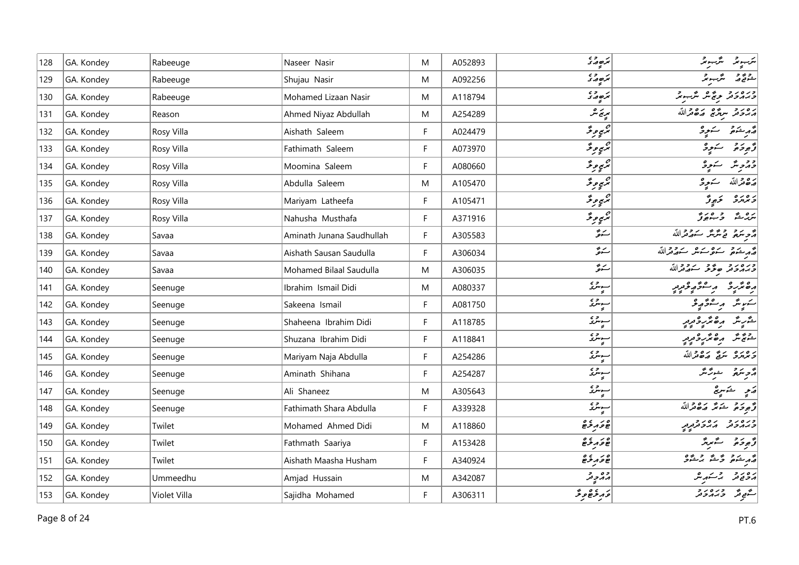| 128 | GA. Kondey | Rabeeuge     | Naseer Nasir              | M  | A052893 | پر چې<br>تر په پر          | للكيبولا التكيبولا                                                                                                                                                                                                  |
|-----|------------|--------------|---------------------------|----|---------|----------------------------|---------------------------------------------------------------------------------------------------------------------------------------------------------------------------------------------------------------------|
| 129 | GA. Kondey | Rabeeuge     | Shujau Nasir              | M  | A092256 | ترەم                       | أخوفه المرسور                                                                                                                                                                                                       |
| 130 | GA. Kondey | Rabeeuge     | Mohamed Lizaan Nasir      | M  | A118794 | پر چه د د                  | ورەرو دەش ئۇسىر                                                                                                                                                                                                     |
| 131 | GA. Kondey | Reason       | Ahmed Niyaz Abdullah      | M  | A254289 | ىيە ئە ئىگر                | رەرو سەرە رە دالله                                                                                                                                                                                                  |
| 132 | GA. Kondey | Rosy Villa   | Aishath Saleem            | F  | A024479 | ە<br>ئىرىپە <i>م</i> وقىر  | ۇرمۇق سۇچ                                                                                                                                                                                                           |
| 133 | GA. Kondey | Rosy Villa   | Fathimath Saleem          | F  | A073970 | ترىپە دېڅر                 | ژوده شرد                                                                                                                                                                                                            |
| 134 | GA. Kondey | Rosy Villa   | Moomina Saleem            | F  | A080660 | لرمبي وقر                  | درويژ ڪرو                                                                                                                                                                                                           |
| 135 | GA. Kondey | Rosy Villa   | Abdulla Saleem            | M  | A105470 | لمربموقر                   | مَدْهُ مَّرَاللَّهُ سَوَجِرْ                                                                                                                                                                                        |
| 136 | GA. Kondey | Rosy Villa   | Mariyam Latheefa          | F  | A105471 | ترىپە دېڅر                 | وبروو تزجير                                                                                                                                                                                                         |
| 137 | GA. Kondey | Rosy Villa   | Nahusha Musthafa          | F  | A371916 | ە<br>ئىرىپ <sub>وم</sub> ۇ | ىرە شەھۇر ئە                                                                                                                                                                                                        |
| 138 | GA. Kondey | Savaa        | Aminath Junana Saudhullah | F. | A305583 | سەۋ                        | وحرير وحريم سكر والله                                                                                                                                                                                               |
| 139 | GA. Kondey | Savaa        | Aishath Sausan Saudulla   | F. | A306034 | سەۋ                        | صم يدم حقوب الله الله                                                                                                                                                                                               |
| 140 | GA. Kondey | Savaa        | Mohamed Bilaal Saudulla   | M  | A306035 | سەۋ                        | ورەرو ھۇۋ سەروراللە                                                                                                                                                                                                 |
| 141 | GA. Kondey | Seenuge      | Ibrahim Ismail Didi       | M  | A080337 | سەپىرى<br>ئە               | رەترىق بەستۇپپۇترىر                                                                                                                                                                                                 |
| 142 | GA. Kondey | Seenuge      | Sakeena Ismail            | F  | A081750 | سومبر<br>پر                | سەبەش مەسىۋە يۇ                                                                                                                                                                                                     |
| 143 | GA. Kondey | Seenuge      | Shaheena Ibrahim Didi     | F  | A118785 | اسومبرچ<br>په              | شَرِسَ مِرْهُ مَرْرِدْ مِرْمَرِ                                                                                                                                                                                     |
| 144 | GA. Kondey | Seenuge      | Shuzana Ibrahim Didi      | F  | A118841 | سويىتى<br>ئە               | شويج مثر الصور محمد من المصر المصر المصر المصر المصر المصر المصر المصر المصر المصر المصر المصر ال<br>المصري المصري المصري المصري المصري المصري المصري المصري المصري المصري المصري المصري المصري المصري المصري المصر |
| 145 | GA. Kondey | Seenuge      | Mariyam Naja Abdulla      | F  | A254286 | سويىتى<br>ئە               | رەرە برۇ رەھراللە                                                                                                                                                                                                   |
| 146 | GA. Kondey | Seenuge      | Aminath Shihana           | F. | A254287 | سويىتى<br>ئە               | مۇجەسىمە سىرتەنتر                                                                                                                                                                                                   |
| 147 | GA. Kondey | Seenuge      | Ali Shaneez               | M  | A305643 | سەپىرى                     | أتذمح المشامرينج                                                                                                                                                                                                    |
| 148 | GA. Kondey | Seenuge      | Fathimath Shara Abdulla   | F  | A339328 | سەپىرى                     | وتجمع وتحرير في الله الله                                                                                                                                                                                           |
| 149 | GA. Kondey | Twilet       | Mohamed Ahmed Didi        | M  | A118860 | جو تر يو ج<br>             | ورەرو رەرورى<br><i>دى</i> رمەدىر مەردىرىر                                                                                                                                                                           |
| 150 | GA. Kondey | Twilet       | Fathmath Saariya          | F  | A153428 | $rac{1}{2}$                | ۇۋۇۋە سەبر                                                                                                                                                                                                          |
| 151 | GA. Kondey | Twilet       | Aishath Maasha Husham     | F  | A340924 | ع ءَ ہر ءُ ع               | مەر ئەم ئاھىر ئاھىر                                                                                                                                                                                                 |
| 152 | GA. Kondey | Ummeedhu     | Amjad Hussain             | M  | A342087 | ده د پر                    | رەرد ئەسكىرىش                                                                                                                                                                                                       |
| 153 | GA. Kondey | Violet Villa | Sajidha Mohamed           | F  | A306311 | وَرِدْعْ عِرْقَه           | شَعِقٌ وَرَهُ دَرَ                                                                                                                                                                                                  |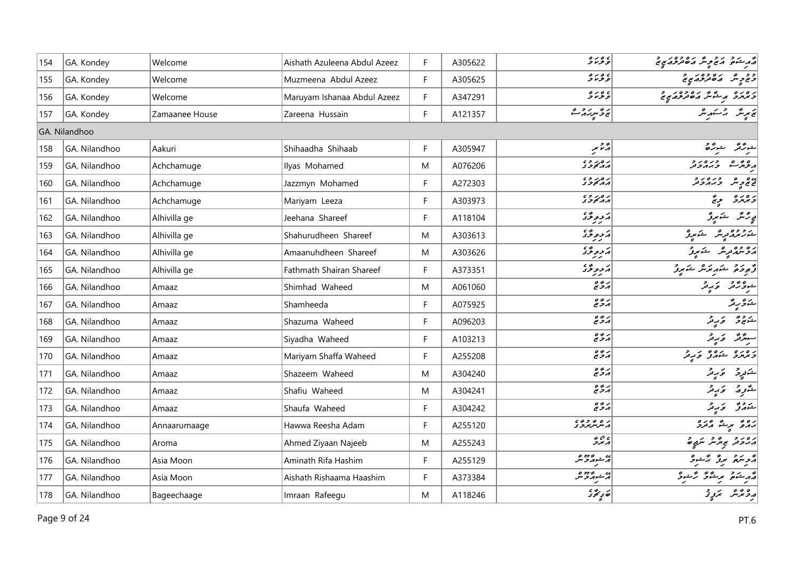| 154 | GA. Kondey    | Welcome        | Aishath Azuleena Abdul Azeez | F           | A305622 | ء و ر ه<br> و بر ر                       | ה היים הזקית הסתיבה <sub>א</sub>                                               |
|-----|---------------|----------------|------------------------------|-------------|---------|------------------------------------------|--------------------------------------------------------------------------------|
| 155 | GA. Kondey    | Welcome        | Muzmeena Abdul Azeez         | $\mathsf F$ | A305625 | <sup>ى ج</sup> ەر ج                      | وو پر محمد ده در د                                                             |
| 156 | GA. Kondey    | Welcome        | Maruyam Ishanaa Abdul Azeez  | F           | A347291 | ءوره                                     | ג 2000 בייליול הסבקבת הבין.<br>בינוקפ <sub>ה</sub> ביליול הסבק <i>ב</i> ה הבין |
| 157 | GA. Kondey    | Zamaanee House | Zareena Hussain              | F           | A121357 | ئ ۇ سرىرە ئە                             | ئیمیٹر برسکویٹر                                                                |
|     | GA. Nilandhoo |                |                              |             |         |                                          |                                                                                |
| 158 | GA. Nilandhoo | Aakuri         | Shihaadha Shihaab            | F           | A305947 | لمرتمي                                   | <br> شورگر شورگاه<br>  ر                                                       |
| 159 | GA. Nilandhoo | Achchamuge     | Ilyas Mohamed                | M           | A076206 | 55501                                    | ە ئەرەر دىرەر د                                                                |
| 160 | GA. Nilandhoo | Achchamuge     | Jazzmyn Mohamed              | F           | A272303 | ر ەر د ›<br>مەمگى ت                      | نه ج ح <sub>و</sub> مگر<br>و رە ر د<br><i>د بە</i> پەر                         |
| 161 | GA. Nilandhoo | Achchamuge     | Mariyam Leeza                | F           | A303973 | 55691                                    | ر ه ر ه<br><del>و</del> بربرو<br>حريج                                          |
| 162 | GA. Nilandhoo | Alhivilla ge   | Jeehana Shareef              | F           | A118104 | ړ د وڅه                                  | <i>چ رُنگ ڪمپرو</i>                                                            |
| 163 | GA. Nilandhoo | Alhivilla ge   | Shahurudheen Shareef         | M           | A303613 | ر<br>د د د د د د                         | خەرىرە يەش خەيرۇ                                                               |
| 164 | GA. Nilandhoo | Alhivilla ge   | Amaanuhdheen Shareef         | M           | A303626 | پر رو و د د<br>  سر رم و د د             | ג כפי <sub>קיי</sub> ת ב <sub>א די</sub> ל                                     |
| 165 | GA. Nilandhoo | Alhivilla ge   | Fathmath Shairan Shareef     | F           | A373351 | <br>  د عرو څری                          | وٌمِرْدَةٌ حَمْدِيْرَسْ حَمَدٍوْ                                               |
| 166 | GA. Nilandhoo | Amaaz          | Shimhad Waheed               | M           | A061060 | روه                                      | جوه ديگر ديگر<br>مرف                                                           |
| 167 | GA. Nilandhoo | Amaaz          | Shamheeda                    | F           | A075925 | بروه                                     | شەۋرى <i>د</i><br>سىم                                                          |
| 168 | GA. Nilandhoo | Amaaz          | Shazuma Waheed               | F           | A096203 | رژه<br>در                                | $\frac{3}{2}$ $\frac{3}{2}$ $\frac{2}{2}$                                      |
| 169 | GA. Nilandhoo | Amaaz          | Siyadha Waheed               | F           | A103213 | رژه<br>در                                | سودگر و در<br>سودگر و بر تر                                                    |
| 170 | GA. Nilandhoo | Amaaz          | Mariyam Shaffa Waheed        | F           | A255208 | رژی                                      | رەرە شەدۇ كەيتر                                                                |
| 171 | GA. Nilandhoo | Amaaz          | Shazeem Waheed               | M           | A304240 | 831                                      | المشكورة التي تحريد المحمد المصر<br>المسكونية                                  |
| 172 | GA. Nilandhoo | Amaaz          | Shafiu Waheed                | M           | A304241 | رژه<br>در                                | شگورژ کاریژ                                                                    |
| 173 | GA. Nilandhoo | Amaaz          | Shaufa Waheed                | $\mathsf F$ | A304242 | ریوه                                     | المشروعي<br>ءَ ٻريمر                                                           |
| 174 | GA. Nilandhoo | Annaarumaage   | Hawwa Reesha Adam            | F           | A255120 | ر ۵ ۵ ۶ و ۵ ۵<br>۸ سرسربر <del>و</del> و | ره و م <sub>ح</sub> ده وره<br>بروی م <sub>ح</sub> دهٔ ارتزو                    |
| 175 | GA. Nilandhoo | Aroma          | Ahmed Ziyaan Najeeb          | M           | A255243 | ی ص ح<br>در بور <del>گ</del>             | ړ د د پر پر تربې ځ                                                             |
| 176 | GA. Nilandhoo | Asia Moon      | Aminath Rifa Hashim          | F.          | A255129 | انده مقرح ده<br>ارس مقرح مثر             | مزوینده برژ شود                                                                |
| 177 | GA. Nilandhoo | Asia Moon      | Aishath Rishaama Haashim     | F           | A373384 | اند شود جو جو جر<br>اند شود جو جر        | <i>مەرىشى برىشۇ ئى</i> سوۋ                                                     |
| 178 | GA. Nilandhoo | Bageechaage    | Imraan Rafeegu               | M           | A118246 | ے <sub>کو</sub> کو ت                     | پروټر تر ټر تر                                                                 |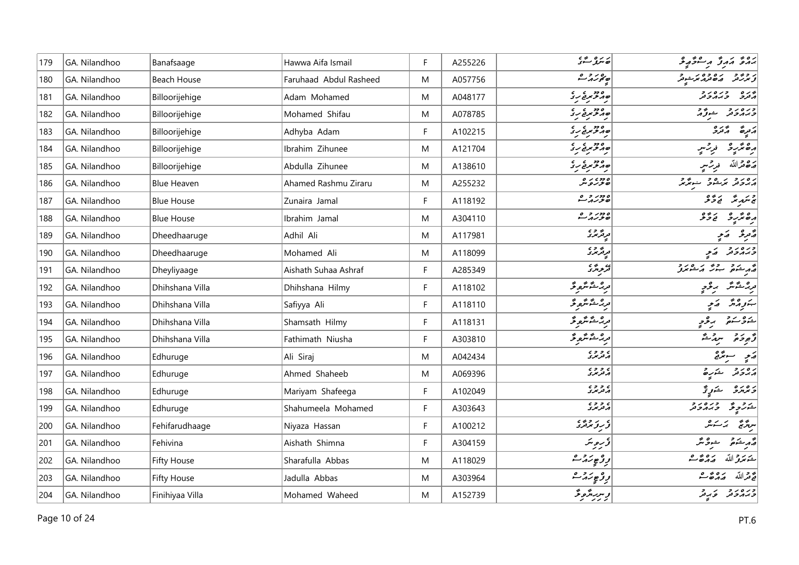| 179 | GA. Nilandhoo | Banafsaage         | Hawwa Aifa Ismail      | F           | A255226 | ر ره په په<br><i>ه</i> نرنو ک                   | بروء ג'ול והשלובי                                                                        |
|-----|---------------|--------------------|------------------------|-------------|---------|-------------------------------------------------|------------------------------------------------------------------------------------------|
| 180 | GA. Nilandhoo | <b>Beach House</b> | Faruhaad Abdul Rasheed | M           | A057756 | ھەمجە ئەرم                                      | ر و د و د ره و ه ر ر د و<br>از برر تر د هام مر ر بر شومر                                 |
| 181 | GA. Nilandhoo | Billoorijehige     | Adam Mohamed           | M           | A048177 | ە دومبرىغ سرى<br>سىر ئىسىرى                     | وره وره رو<br>پرترز وبروتر                                                               |
| 182 | GA. Nilandhoo | Billoorijehige     | Mohamed Shifau         | M           | A078785 | ه دو د پره<br>حوړ څرينې رن                      | ورەرو شۆۋە                                                                               |
| 183 | GA. Nilandhoo | Billoorijehige     | Adhyba Adam            | F           | A102215 | ه دوم د ،<br>حەر محر برغ بر د                   | أرديرة أوره                                                                              |
| 184 | GA. Nilandhoo | Billoorijehige     | Ibrahim Zihunee        | M           | A121704 | ه دوم د ،<br>حەر محر برغ بر د                   | وەترىرى مۇرقىير                                                                          |
| 185 | GA. Nilandhoo | Billoorijehige     | Abdulla Zihunee        | M           | A138610 | ه دومبر د د کار<br>مرگه مرگه کر                 | بره و الله <sub>فر</sub> رسمبر                                                           |
| 186 | GA. Nilandhoo | <b>Blue Heaven</b> | Ahamed Rashmu Ziraru   | M           | A255232 | ه دوی ر ه<br><i>ه مور</i> و س                   | גם גב גם ב<br>גברית הניימים - ייתא                                                       |
| 187 | GA. Nilandhoo | <b>Blue House</b>  | Zunaira Jamal          | F           | A118192 | ە دىر دېم ھ                                     | تحسكر يم تحريح                                                                           |
| 188 | GA. Nilandhoo | <b>Blue House</b>  | Ibrahim Jamal          | M           | A304110 | ە دىر دې<br>ھىرىر مە                            | دەنزىر يۈۋ                                                                               |
| 189 | GA. Nilandhoo | Dheedhaaruge       | Adhil Ali              | M           | A117981 | اور قرح<br>اور قرمری                            | پژور ه کرمړ                                                                              |
| 190 | GA. Nilandhoo | Dheedhaaruge       | Mohamed Ali            | M           | A118099 | امریژبرد                                        | ورەرو كې                                                                                 |
| 191 | GA. Nilandhoo | Dheyliyaage        | Aishath Suhaa Ashraf   | $\mathsf F$ | A285349 | ء<br>تروپر <sub>ک</sub>                         |                                                                                          |
| 192 | GA. Nilandhoo | Dhihshana Villa    | Dhihshana Hilmy        | F           | A118102 | ىر <i>ر</i> ئەشكىرىگە                           | مربر مشتر مربر مربر مربر مرب <sup>1</sup><br>  مربر مربر مربر مربر مربر مرب <sup>1</sup> |
| 193 | GA. Nilandhoo | Dhihshana Villa    | Safiyya Ali            | F           | A118110 | <sub>قرىر</sub> مەشتىرىدۇ.                      | بتوره پژمخ                                                                               |
| 194 | GA. Nilandhoo | Dhihshana Villa    | Shamsath Hilmy         | F           | A118131 | <br>  مربر شهم متنز مربح                        | $rac{22}{100}$ $rac{2}{100}$                                                             |
| 195 | GA. Nilandhoo | Dhihshana Villa    | Fathimath Niusha       | F           | A303810 | ىر <i>ر 2 مىڭ مى</i> گرىمى گە                   | توالله والمتحفظ والمتعبر                                                                 |
| 196 | GA. Nilandhoo | Edhuruge           | Ali Siraj              | M           | A042434 | ې د د پ<br>پر تر پر پ                           | أوسمج سيوجي                                                                              |
| 197 | GA. Nilandhoo | Edhuruge           | Ahmed Shaheeb          | M           | A069396 | ے و و ے<br>پر تعری                              |                                                                                          |
| 198 | GA. Nilandhoo | Edhuruge           | Mariyam Shafeega       | F           | A102049 | ړ و و ړ<br>پر تومون                             | و ورو شری                                                                                |
| 199 | GA. Nilandhoo | Edhuruge           | Shahumeela Mohamed     | $\mathsf F$ | A303643 | ړ و و ړ<br>پر تو پور                            | شركر وره دره                                                                             |
| 200 | GA. Nilandhoo | Fehifarudhaage     | Niyaza Hassan          | F           | A100212 | ا د سر د بر د و پر<br>اگرېز مرمر <sub>د ک</sub> | سردسج برسكس                                                                              |
| 201 | GA. Nilandhoo | Fehivina           | Aishath Shimna         | F           | A304159 | ۇر <sub>چە مى</sub> ر                           | ۇرمۇق موۋىگر                                                                             |
| 202 | GA. Nilandhoo | <b>Fifty House</b> | Sharafulla Abbas       | M           | A118029 | <mark>ر</mark> ژ <sub>ھې</sub> ر بر مه          | رەپچە<br>شەمترىق الله                                                                    |
| 203 | GA. Nilandhoo | <b>Fifty House</b> | Jadulla Abbas          | M           | A303964 | ر ژ <sub>ي</sub> ج ئەز <sup>م</sup>             | 2522<br>قح فرالله                                                                        |
| 204 | GA. Nilandhoo | Finihiyaa Villa    | Mohamed Waheed         | M           | A152739 | و سربر مرَّحر څُر                               | ورەرو رېږو                                                                               |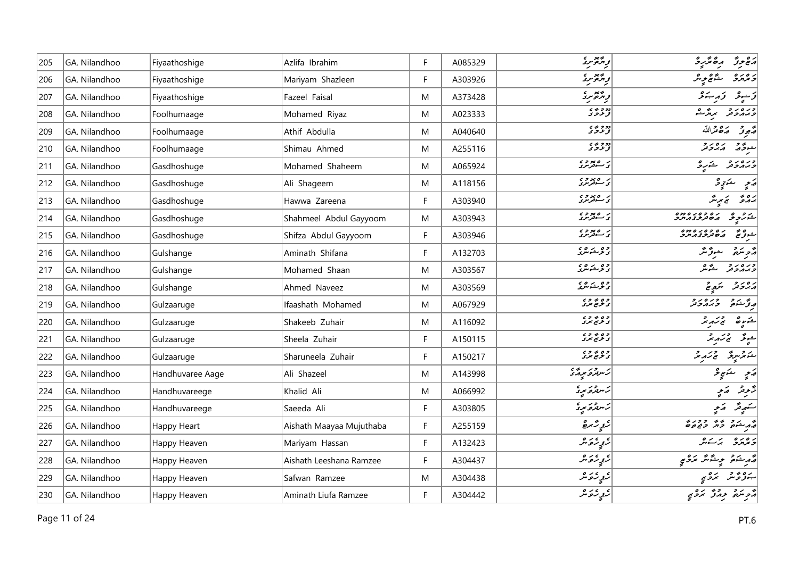| 205 | GA. Nilandhoo | Fiyaathoshige      | Azlifa Ibrahim           | F  | A085329 | و پر پر<br>پر مربو سر پر                                      | أرجع وقر                                         |
|-----|---------------|--------------------|--------------------------|----|---------|---------------------------------------------------------------|--------------------------------------------------|
| 206 | GA. Nilandhoo | Fiyaathoshige      | Mariyam Shazleen         | F. | A303926 | و پھر ہ<br>پر مربحہ سری                                       | -<br>ستوچ پویلر<br>ر ه ر ه<br><del>و</del> بربرو |
| 207 | GA. Nilandhoo | Fiyaathoshige      | Fazeel Faisal            | M  | A373428 | و پھر ہ<br>پر مربوری                                          | تزحيف تصصنف                                      |
| 208 | GA. Nilandhoo | Foolhumaage        | Mohamed Riyaz            | M  | A023333 | دد د د »<br>تو تر د                                           | ورەرو برگرم                                      |
| 209 | GA. Nilandhoo | Foolhumaage        | Athif Abdulla            | M  | A040640 | دد و د د<br>تو تر تر ک                                        | قيموقر الاقتصالله                                |
| 210 | GA. Nilandhoo | Foolhumaage        | Shimau Ahmed             | M  | A255116 | دو و پر پر<br>تو نو <del>و</del> ک                            | جوځ ړه ده.                                       |
| 211 | GA. Nilandhoo | Gasdhoshuge        | Mohamed Shaheem          | M  | A065924 | ر ۔ صوبر د<br>ئ سىقرىرى                                       | و ر ه ر و<br>تر پر تر تر<br>ر شور و              |
| 212 | GA. Nilandhoo | Gasdhoshuge        | Ali Shageem              | M  | A118156 | ر ره پر و ،<br><sub>ک</sub> سه تر <sub>م</sub> ر <sub>ک</sub> | ړې خنږو<br>م                                     |
| 213 | GA. Nilandhoo | Gasdhoshuge        | Hawwa Zareena            | F. | A303940 | ر ۔ 2 پر و ۽<br>ي سستمرمري                                    | رەۋ ئىمىدىگە                                     |
| 214 | GA. Nilandhoo | Gasdhoshuge        | Shahmeel Abdul Gayyoom   | M  | A303943 | ر ۔ صوبے<br>کی سسوتوری                                        | در ده ده ده دوه دره<br>شرکت در ده تروی در در     |
| 215 | GA. Nilandhoo | Gasdhoshuge        | Shifza Abdul Gayyoom     | F. | A303946 | ر ۔ صوبے<br>کی سستمبر سون                                     | ر ه و ه د ه دده<br>پره تر پر بر بر<br>شوژنځ      |
| 216 | GA. Nilandhoo | Gulshange          | Aminath Shifana          | F  | A132703 | وه پره <sup>ي</sup>                                           | ۇچەسىرە سىرۇنتر                                  |
| 217 | GA. Nilandhoo | Gulshange          | Mohamed Shaan            | M  | A303567 | وه په ۵ په<br>د نوشومبر <sub>ۍ</sub>                          | ورەر دېم شەر                                     |
| 218 | GA. Nilandhoo | Gulshange          | Ahmed Naveez             | M  | A303569 | وه په ۵ په<br>د نوشه مرد                                      | أرور والمتمعية                                   |
| 219 | GA. Nilandhoo | Gulzaaruge         | Ifaashath Mohamed        | M  | A067929 | و ه پر و ء<br>ۍ څريځ بورۍ                                     | و محمد وره دو                                    |
| 220 | GA. Nilandhoo | Gulzaaruge         | Shakeeb Zuhair           | M  | A116092 | و ه پر و ،<br>د نژيخ بود                                      |                                                  |
| 221 | GA. Nilandhoo | Gulzaaruge         | Sheela Zuhair            | F  | A150115 | و ه پر و ،<br>د نومځ مرد                                      | لمستوفى المحاكم بمركز                            |
| 222 | GA. Nilandhoo | Gulzaaruge         | Sharuneela Zuhair        | F. | A150217 | و ه پر و ،<br>د نومځ مرد                                      | ڪوڻي ۾ جا پاڻ                                    |
| 223 | GA. Nilandhoo | Handhuvaree Aage   | Ali Shazeel              | M  | A143998 | ر سرپرې <sub>پور</sub> گړي<br>پ                               | ړې خ <i>و</i> ړې                                 |
| 224 | GA. Nilandhoo | Handhuvareege      | Khalid Ali               | M  | A066992 | ر سروگر <sub>مو</sub> ر                                       | دُومُ الأم                                       |
| 225 | GA. Nilandhoo | Handhuvareege      | Saeeda Ali               | F  | A303805 | ر سرچرې پېر <sup>ي</sup>                                      | سكھيىتى اھكتے                                    |
| 226 | GA. Nilandhoo | <b>Happy Heart</b> | Aishath Maayaa Mujuthaba | F  | A255159 | <sup>ي</sup> پ <sub>و</sub> شهره په                           | $\frac{2}{9}$                                    |
| 227 | GA. Nilandhoo | Happy Heaven       | Mariyam Hassan           | F  | A132423 | الزويزة كمقد                                                  | رەرە برىش                                        |
| 228 | GA. Nilandhoo | Happy Heaven       | Aishath Leeshana Ramzee  | F  | A304437 | ې په <i>څ</i> که شر                                           | وأرجني وجئش تردمي                                |
| 229 | GA. Nilandhoo | Happy Heaven       | Safwan Ramzee            | M  | A304438 | ئ <sub>ەب</sub> و ئەھەتلە                                     | رە دەر بەر                                       |
| 230 | GA. Nilandhoo | Happy Heaven       | Aminath Liufa Ramzee     | F  | A304442 | الزويزة تنقر                                                  | أأروسكم وارثى بروبي                              |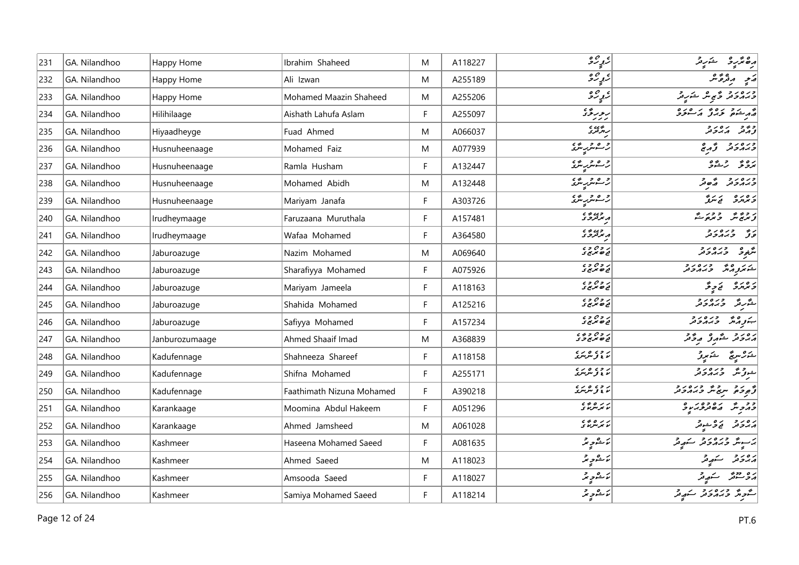| 231 | GA. Nilandhoo | Happy Home     | Ibrahim Shaheed           | M         | A118227 | ء پر ص <u>ع</u>                                   | ە ئەربە ئەربىر<br>مەمەربە ئ            |
|-----|---------------|----------------|---------------------------|-----------|---------|---------------------------------------------------|----------------------------------------|
| 232 | GA. Nilandhoo | Happy Home     | Ali Izwan                 | M         | A255189 | ترويحو                                            | ە ئۇرۇش                                |
| 233 | GA. Nilandhoo | Happy Home     | Mohamed Maazin Shaheed    | M         | A255206 | تجويحو                                            | ورەرو گەرش ھەر                         |
| 234 | GA. Nilandhoo | Hilihilaage    | Aishath Lahufa Aslam      | F         | A255097 | ر ور د د.<br>ر ر                                  |                                        |
| 235 | GA. Nilandhoo | Hiyaadheyge    | Fuad Ahmed                | ${\sf M}$ | A066037 | و در د<br>ر دگری                                  | وجو رورو                               |
| 236 | GA. Nilandhoo | Husnuheenaage  | Mohamed Faiz              | M         | A077939 | 2 مەيرى <i>يەتك</i>                               | ورەر ئەرە                              |
| 237 | GA. Nilandhoo | Husnuheenaage  | Ramla Husham              | F         | A132447 | ر مەش <sub>رىپ</sub> ىدىكى<br>مەسىر               | ىرە بەر ئەشكە                          |
| 238 | GA. Nilandhoo | Husnuheenaage  | Mohamed Abidh             | ${\sf M}$ | A132448 | ر مەيرى <sub>ر بىرى</sub><br>مەسرىپەتتە           | ورەر د ھەتر                            |
| 239 | GA. Nilandhoo | Husnuheenaage  | Mariyam Janafa            | F         | A303726 | ر مەيرى <sub>ر بىرى</sub><br>مەسرىپەتلىكى         | رەرە يەر                               |
| 240 | GA. Nilandhoo | Irudheymaage   | Faruzaana Muruthala       | F         | A157481 | و ده و د و<br>در موتور و د                        | ر د په د در په                         |
| 241 | GA. Nilandhoo | Irudheymaage   | Wafaa Mohamed             | F         | A364580 | پر بر بر بر بر بر<br>  پر بر بر بر بر             | د د دره د د<br>وژ د پروتر              |
| 242 | GA. Nilandhoo | Jaburoazuge    | Nazim Mohamed             | M         | A069640 | پر و م و ء<br>  فع حريج ي                         | و ره ر و<br>تر پر تر تر<br>سَّنْعُوثَر |
| 243 | GA. Nilandhoo | Jaburoazuge    | Sharafiyya Mohamed        | F         | A075926 | پر و م و ء<br>  فع حريج ي                         | شومروه وره دو                          |
| 244 | GA. Nilandhoo | Jaburoazuge    | Mariyam Jameela           | F         | A118163 | پر و م و ء<br>  فع حريج ي                         | دەرە ئەدبۇ                             |
| 245 | GA. Nilandhoo | Jaburoazuge    | Shahida Mohamed           | F         | A125216 | پر و م و ء<br>  فع حريج ي                         | أختررتش وبره ورو                       |
| 246 | GA. Nilandhoo | Jaburoazuge    | Safiyya Mohamed           | F         | A157234 | پر و م و ء<br>  فع حريج <sub>ک</sub>              | ה כל כנסניב                            |
| 247 | GA. Nilandhoo | Janburozumaage | Ahmed Shaaif Imad         | M         | A368839 | ر و 0 و و ء<br>انع ن مربع تر ی                    | أرور و شهرو المحمد                     |
| 248 | GA. Nilandhoo | Kadufennage    | Shahneeza Shareef         | F         | A118158 | ر د ، ه ر ،                                       | شرار سيج الشرير                        |
| 249 | GA. Nilandhoo | Kadufennage    | Shifna Mohamed            | F         | A255171 | ر د ، ه ر ،                                       | ے ورہ در ور<br>خوتی ویرمز فر           |
| 250 | GA. Nilandhoo | Kadufennage    | Faathimath Nizuna Mohamed | F         | A390218 | پر دې ه بر پ                                      | و د د سرچ شه دره د د                   |
| 251 | GA. Nilandhoo | Karankaage     | Moomina Abdul Hakeem      | F         | A051296 | ر ره و د ،<br>ما <del>ب</del> ر مرتز <sub>ک</sub> | cc 2000 1000 0                         |
| 252 | GA. Nilandhoo | Karankaage     | Ahmed Jamsheed            | M         | A061028 | ر ر ه و د ،<br>ما بر سرد د                        | أبره رح ره در د                        |
| 253 | GA. Nilandhoo | Kashmeer       | Haseena Mohamed Saeed     | F         | A081635 | لأمشوجه                                           | يُرِ وَيَدَ وَيَدَ مَدِيْرٍ            |
| 254 | GA. Nilandhoo | Kashmeer       | Ahmed Saeed               | M         | A118023 | ئۈشقىيە تە                                        | أرور والمتمرية                         |
| 255 | GA. Nilandhoo | Kashmeer       | Amsooda Saeed             | F         | A118027 | ئۈشەر ئە                                          | ره دو ته سکه ته                        |
| 256 | GA. Nilandhoo | Kashmeer       | Samiya Mohamed Saeed      | F         | A118214 | تذهقي تتمر                                        | أنقوش وره دو الكروتر                   |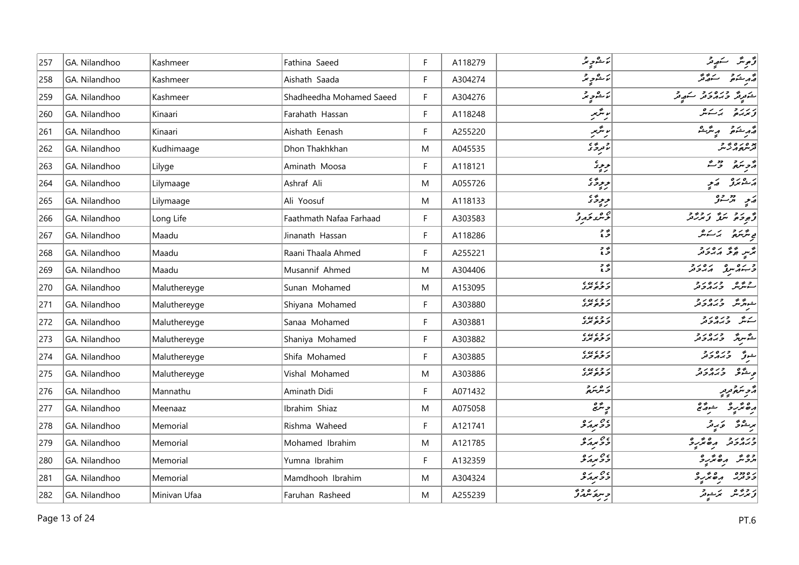| 257 | GA. Nilandhoo | Kashmeer     | Fathina Saeed            | F         | A118279 | لأمشو پر                            | ۇ <sub>م</sub> ومىگە سەمدىر<br>كەنبە                                                                                                                                                                                             |
|-----|---------------|--------------|--------------------------|-----------|---------|-------------------------------------|----------------------------------------------------------------------------------------------------------------------------------------------------------------------------------------------------------------------------------|
| 258 | GA. Nilandhoo | Kashmeer     | Aishath Saada            | F.        | A304274 | لأمشو يز                            |                                                                                                                                                                                                                                  |
| 259 | GA. Nilandhoo | Kashmeer     | Shadheedha Mohamed Saeed | F         | A304276 | لأمشوجه                             |                                                                                                                                                                                                                                  |
| 260 | GA. Nilandhoo | Kinaari      | Farahath Hassan          | F         | A118248 | بويتزبير                            | ۇيرىرە بەسكىر                                                                                                                                                                                                                    |
| 261 | GA. Nilandhoo | Kinaari      | Aishath Eenash           | F         | A255220 | بويثبر                              | وأرشكم وترشو                                                                                                                                                                                                                     |
| 262 | GA. Nilandhoo | Kudhimaage   | Dhon Thakhkhan           | M         | A045535 | د په په<br>موبودگ                   | پر ہ برہ بر بر<br>تر سر <sub>ک</sub> ر بر سر                                                                                                                                                                                     |
| 263 | GA. Nilandhoo | Lilyge       | Aminath Moosa            | F         | A118121 | و و د<br>ري                         | ړ په ده ده د                                                                                                                                                                                                                     |
| 264 | GA. Nilandhoo | Lilymaage    | Ashraf Ali               | ${\sf M}$ | A055726 | ووڈ ء<br>ر                          | كالشايخرق الكامج                                                                                                                                                                                                                 |
| 265 | GA. Nilandhoo | Lilymaage    | Ali Yoosuf               | M         | A118133 | ووڈءُ                               | $\begin{array}{cc} \hline 0 & \mathcal{D} & \mathcal{D} & \mathcal{D} \\ \mathcal{D} & \mathcal{D} & \mathcal{D} & \mathcal{D} & \mathcal{D} \\ \mathcal{D} & \mathcal{D} & \mathcal{D} & \mathcal{D} & \mathcal{D} \end{array}$ |
| 266 | GA. Nilandhoo | Long Life    | Faathmath Nafaa Farhaad  | F         | A303583 | ئۇيى <i>گە ئۇمرىق</i>               | و دو نړۍ د دوه د                                                                                                                                                                                                                 |
| 267 | GA. Nilandhoo | Maadu        | Jinanath Hassan          | F.        | A118286 | っこ                                  | ى <sub>م</sub> ئىرىدۇ بەسكەنلەر                                                                                                                                                                                                  |
| 268 | GA. Nilandhoo | Maadu        | Raani Thaala Ahmed       | F.        | A255221 | ?彡                                  | ا پر س بر بره بر د و بر د                                                                                                                                                                                                        |
| 269 | GA. Nilandhoo | Maadu        | Musannif Ahmed           | M         | A304406 | ?彡                                  | وجوارو كالمرور                                                                                                                                                                                                                   |
| 270 | GA. Nilandhoo | Maluthereyge | Sunan Mohamed            | M         | A153095 | ر و ، د، د<br>د عرص مرد             | و علم العداد و در دار د<br>سوسرس العداد و بر                                                                                                                                                                                     |
| 271 | GA. Nilandhoo | Maluthereyge | Shiyana Mohamed          | F         | A303880 | ر و ، د، ،<br><del>د</del> نوج بو د | شەرگىش <i>دىرە د</i> و<br>شەر <i>گىش جەم</i> ەر                                                                                                                                                                                  |
| 272 | GA. Nilandhoo | Maluthereyge | Sanaa Mohamed            | F         | A303881 | ر و ، ،، ،<br>ترمومو                | سەش دىرەرد                                                                                                                                                                                                                       |
| 273 | GA. Nilandhoo | Maluthereyge | Shaniya Mohamed          | F         | A303882 | ر و ، ،، ،<br>ترمو بور              | شگهرنگ وره دو                                                                                                                                                                                                                    |
| 274 | GA. Nilandhoo | Maluthereyge | Shifa Mohamed            | F.        | A303885 | ر و ، ،، ،<br>ترمو بور              | أشوق ورەرد                                                                                                                                                                                                                       |
| 275 | GA. Nilandhoo | Maluthereyge | Vishal Mohamed           | M         | A303886 | ر و ، ،، ،<br>ترمو مرد              | وشگو<br>ورەر د<br><i>د ب</i> ەر تەر                                                                                                                                                                                              |
| 276 | GA. Nilandhoo | Mannathu     | Aminath Didi             | F         | A071432 | ىر ھەير د                           | ر<br>په پېښې پېړنې                                                                                                                                                                                                               |
| 277 | GA. Nilandhoo | Meenaaz      | Ibrahim Shiaz            | M         | A075058 | جريثي                               | وە ئۈرۈ<br>شوچرځ                                                                                                                                                                                                                 |
| 278 | GA. Nilandhoo | Memorial     | Rishma Waheed            | F         | A121741 | ووتبرو                              | برحافة كرباني                                                                                                                                                                                                                    |
| 279 | GA. Nilandhoo | Memorial     | Mohamed Ibrahim          | M         | A121785 | ە ئەرگە ئە                          | و ر ه ر د<br><del>و</del> بر پر <del>و</del> ر<br>مەھمەرد                                                                                                                                                                        |
| 280 | GA. Nilandhoo | Memorial     | Yumna Ibrahim            | F         | A132359 | <sup>2</sup> ء برړی                 | ە ھەمرىر 2<br>بەھەمرىر 2<br>وه پ <sub>ر</sub>                                                                                                                                                                                    |
| 281 | GA. Nilandhoo | Memorial     | Mamdhooh Ibrahim         | M         | A304324 | ء ۾ مرو<br> حڪم پرمر                | ە ھەترىرى<br>مەھىرىرى<br>ر ه دوه<br><del>و</del> و توبر                                                                                                                                                                          |
| 282 | GA. Nilandhoo | Minivan Ufaa | Faruhan Rasheed          | M         | A255239 | ادىيە ئەرە                          | ۇ براز كەر بۇرىدىر                                                                                                                                                                                                               |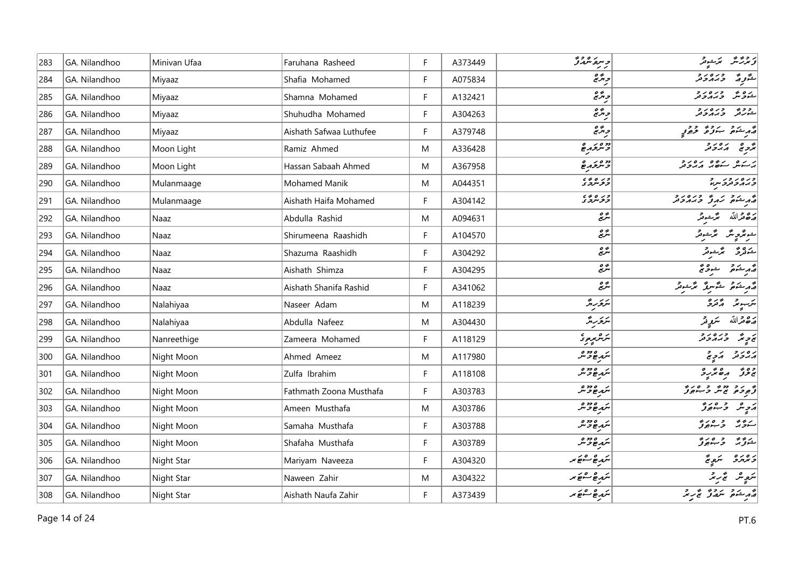| 283 | GA. Nilandhoo | Minivan Ufaa      | Faruhana Rasheed        | F  | A373449 | ار سرهٔ شددٌ<br>پ                | وَيَرْشَدُ بِمَسْوِيْر              |
|-----|---------------|-------------------|-------------------------|----|---------|----------------------------------|-------------------------------------|
| 284 | GA. Nilandhoo | Miyaaz            | Shafia Mohamed          | F. | A075834 | حرمزمج                           | شوره دره درد                        |
| 285 | GA. Nilandhoo | Miyaaz            | Shamna Mohamed          | F. | A132421 | حروشي                            | ے وید ورور د                        |
| 286 | GA. Nilandhoo | Miyaaz            | Shuhudha Mohamed        | F. | A304263 | حرجرهج                           | شەرقە دىرەرد                        |
| 287 | GA. Nilandhoo | Miyaaz            | Aishath Safwaa Luthufee | F  | A379748 | حرچرمج                           | وأرشكم بتزو وور                     |
| 288 | GA. Nilandhoo | Moon Light        | Ramiz Ahmed             | M  | A336428 | ومرتزرة                          | بمرجع متحدد                         |
| 289 | GA. Nilandhoo | Moon Light        | Hassan Sabaah Ahmed     | M  | A367958 | ومشرقه وهج                       | يركبش كنصر مادور                    |
| 290 | GA. Nilandhoo | Mulanmaage        | <b>Mohamed Manik</b>    | M  | A044351 | ور ۵ پر پ<br>وتوسرو <sub>ک</sub> | כמם מכנית ידי<br>במחבית בתע         |
| 291 | GA. Nilandhoo | Mulanmaage        | Aishath Haifa Mohamed   | F  | A304142 | ور ۵ پر ۽<br>وتوسرو <sub>ک</sub> | و المستوفي المروح المستحدة المستخدم |
| 292 | GA. Nilandhoo | Naaz              | Abdulla Rashid          | M  | A094631 | سرچ                              | أرة فترالله محمشوقر                 |
| 293 | GA. Nilandhoo | Naaz              | Shirumeena Raashidh     | F  | A104570 | سرچ                              | شونژونڈ نژشونژ<br>شونژونڈ نژشونژ    |
| 294 | GA. Nilandhoo | Naaz              | Shazuma Raashidh        | F  | A304292 | سرچ                              |                                     |
| 295 | GA. Nilandhoo | Naaz              | Aishath Shimza          | F  | A304295 | سرچ                              | وكرمشكم الشوقانج                    |
| 296 | GA. Nilandhoo | Naaz              | Aishath Shanifa Rashid  | F  | A341062 | سرچ                              | ر<br>درخوم خوسر گرخون               |
| 297 | GA. Nilandhoo | Nalahiyaa         | Naseer Adam             | M  | A118239 | يتزنجر بثر                       | بترسومز المروح                      |
| 298 | GA. Nilandhoo | Nalahiyaa         | Abdulla Nafeez          | M  | A304430 | يتزبخر بثر                       | پر ۱۵ درالله سروپه در               |
| 299 | GA. Nilandhoo | Nanreethige       | Zameera Mohamed         | F  | A118129 | ىئەتىرىدى<br>مىزىترىيرى          | كم حيث حده د د                      |
| 300 | GA. Nilandhoo | Night Moon        | Ahmed Ameez             | M  | A117980 | يئرم ودوعر                       |                                     |
| 301 | GA. Nilandhoo | Night Moon        | Zulfa Ibrahim           | F  | A118108 | سرەپىر                           | جوز رەپرىر                          |
| 302 | GA. Nilandhoo | Night Moon        | Fathmath Zoona Musthafa | F  | A303783 | سرە ھەر                          |                                     |
| 303 | GA. Nilandhoo | Night Moon        | Ameen Musthafa          | M  | A303786 | يترم ودور                        | أرَوِيرُ وَجَمَعُورُ                |
| 304 | GA. Nilandhoo | Night Moon        | Samaha Musthafa         | F  | A303788 | اير ودو                          | سەدىق دەرە                          |
| 305 | GA. Nilandhoo | Night Moon        | Shafaha Musthafa        | F  | A303789 | أترموهم                          | د ۱۵۷۵.<br>د سروز<br>شەرىجە         |
| 306 | GA. Nilandhoo | Night Star        | Mariyam Naveeza         | F  | A304320 | ىئىر ھېشىھ ئىر                   | ر ه ر ه<br>د بربر ژ<br>سكرجيح       |
| 307 | GA. Nilandhoo | <b>Night Star</b> | Naween Zahir            | M  | A304322 | سكره هوسكم تتعر                  | لترمويش الحمريم                     |
| 308 | GA. Nilandhoo | Night Star        | Aishath Naufa Zahir     | F  | A373439 | سَمَدِ ڪَ حصَصَصَر               | أشهر شوه شهر و المحمد برخ           |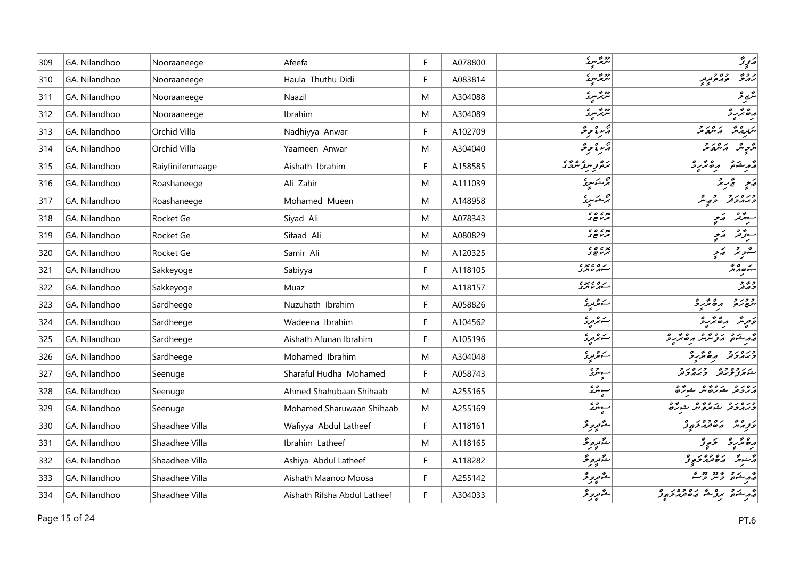| 309 | GA. Nilandhoo | Nooraaneege      | Afeefa                       | F  | A078800 | دور<br>سرپر سرپر                     |                                                |
|-----|---------------|------------------|------------------------------|----|---------|--------------------------------------|------------------------------------------------|
| 310 | GA. Nilandhoo | Nooraaneege      | Haula Thuthu Didi            | F. | A083814 | دو پر<br>سربر سرپر                   | ر در در<br>رود در<br>و ه د<br>موهرمونږي        |
| 311 | GA. Nilandhoo | Nooraaneege      | Naazil                       | M  | A304088 | دور<br>سربر سرپر                     | بۇرچە                                          |
| 312 | GA. Nilandhoo | Nooraaneege      | Ibrahim                      | M  | A304089 | ترپژسر،                              | دەنزېر                                         |
| 313 | GA. Nilandhoo | Orchid Villa     | Nadhiyya Anwar               | F  | A102709 | ەر بە ئوقر                           | سكعروشر<br>بر 2 پر ج                           |
| 314 | GA. Nilandhoo | Orchid Villa     | Yaameen Anwar                | M  | A304040 | لأسوء وبخه                           | ېژ <sub>چ</sub> بر<br>بر ۱۵۷۵.<br>مرس          |
| 315 | GA. Nilandhoo | Raiyfinifenmaage | Aishath Ibrahim              | F  | A158585 | ئەۋى <sub>ر س</sub> ېۋىر ئەرە        | ومشوق مقترره                                   |
| 316 | GA. Nilandhoo | Roashaneege      | Ali Zahir                    | M  | A111039 | ترىشەسرىگە                           | أوسمج سيمر بمر                                 |
| 317 | GA. Nilandhoo | Roashaneege      | Mohamed Mueen                | M  | A148958 | ە<br>ئىرىشەس <sub>ىرى</sub> گە       | و ره ر د<br>تر پر پر تر                        |
| 318 | GA. Nilandhoo | Rocket Ge        | Siyad Ali                    | M  | A078343 | پر ی ه ی<br>تر را جا ی               | اسىدىگە<br>سەھەر<br>ەكىر                       |
| 319 | GA. Nilandhoo | Rocket Ge        | Sifaad Ali                   | M  | A080829 | پر ی ه ی<br>تر را جا ی               | سىزۇر<br>ەكىپىيە                               |
| 320 | GA. Nilandhoo | Rocket Ge        | Samir Ali                    | M  | A120325 | پر ی ه ی<br>تر را جا ی               | سەّحە ئىر<br>رځمنو                             |
| 321 | GA. Nilandhoo | Sakkeyoge        | Sabiyya                      | F. | A118105 | ر ۵ بر ۲ د ۲<br>سود ۱ د د د          | بتومد                                          |
| 322 | GA. Nilandhoo | Sakkeyoge        | Muaz                         | M  | A118157 | ر ۵ بر ۲ بر ۲<br>سود ۱ مر            | و بر و<br>تر <i>و</i> گر                       |
| 323 | GA. Nilandhoo | Sardheege        | Nuzuhath Ibrahim             | F  | A058826 | ئەنگە بور <sup>ى</sup>               | پر پر بر بر<br>سرچ سرچ<br>برە ئۆر ۋ            |
| 324 | GA. Nilandhoo | Sardheege        | Wadeena Ibrahim              | F  | A104562 | ر و ه<br>سوچوری                      | وَمِرِینَر رِه بُرُرِدْ                        |
| 325 | GA. Nilandhoo | Sardheege        | Aishath Afunan Ibrahim       | F  | A105196 | ئەنگە تېرى <sup>ي</sup><br>سەنگە ئېچ | ה<br>האני הים הניתית הסתיב                     |
| 326 | GA. Nilandhoo | Sardheege        | Mohamed Ibrahim              | M  | A304048 | ر و ه در <sup>ج</sup>                | כמתכני תפתיכ                                   |
| 327 | GA. Nilandhoo | Seenuge          | Sharaful Hudha Mohamed       | F  | A058743 | سەپىرى<br>ئە                         | ر ر و ه و به در ه ر و<br>شهر ز خر د بر بر د تر |
| 328 | GA. Nilandhoo | Seenuge          | Ahmed Shahubaan Shihaab      | M  | A255165 | سەپىرى                               | رەر دېردىق<br>م.برونر خەرەش خەرە               |
| 329 | GA. Nilandhoo | Seenuge          | Mohamed Sharuwaan Shihaab    | M  | A255169 | سەپىرى<br>ئە                         | ورەرو بەدەھ بەدە<br><i>دىدە</i> چىر بەدەش بەدى |
| 330 | GA. Nilandhoo | Shaadhee Villa   | Wafiyya Abdul Latheef        | F  | A118161 | ستورو ژٌ<br>ستورو ژ                  | פֿנָמת מסינמבֿפּנ                              |
| 331 | GA. Nilandhoo | Shaadhee Villa   | Ibrahim Latheef              | M  | A118165 | ىشەرەپ<br>ئ                          | رەترىر ئەر                                     |
| 332 | GA. Nilandhoo | Shaadhee Villa   | Ashiya Abdul Latheef         | F  | A118282 | ىشەد <sub>ى</sub> رىدۇ.<br>ئىقلىر    | و ده ده ده ده و د                              |
| 333 | GA. Nilandhoo | Shaadhee Villa   | Aishath Maanoo Moosa         | F  | A255142 | ىشەرە ئۇ<br>ئ                        | و در در در در د                                |
| 334 | GA. Nilandhoo | Shaadhee Villa   | Aishath Rifsha Abdul Latheef | F. | A304033 | ڪ <sup>ي</sup> ور <i>و</i> گر        | د.<br>درخوم بروخه مصر در و                     |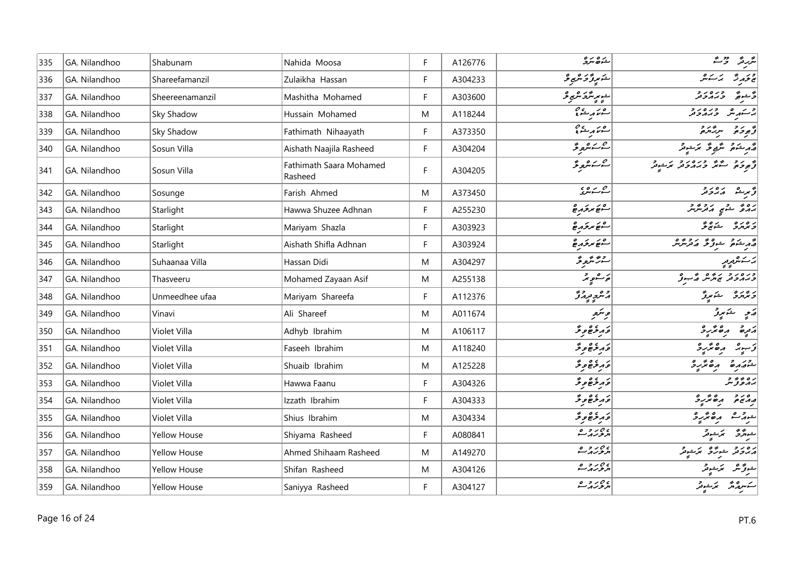| 335 | GA. Nilandhoo        | Shabunam            | Nahida Moosa                       | F         | A126776 | شەھ بىرە                         | شریر و مینه<br>سر                                            |
|-----|----------------------|---------------------|------------------------------------|-----------|---------|----------------------------------|--------------------------------------------------------------|
| 336 | GA. Nilandhoo        | Shareefamanzil      | Zulaikha Hassan                    | F         | A304233 | خەمرۇكەتى <sub>دى</sub> ئ        | ة ئەرگە<br>ئاخرىر<br>پرسەيىتە                                |
| 337 | GA. Nilandhoo        | Sheereenamanzil     | Mashitha Mohamed                   | F         | A303600 | مەستۇكىرى<br>ئەسىر ئىگرىمىتى     | ۇ شىمۇ<br>و ره ر د<br><i>د ب</i> رگرفر                       |
| 338 | GA. Nilandhoo        | <b>Sky Shadow</b>   | Hussain Mohamed                    | M         | A118244 | سنتماز يشيم                      | و ره ر و<br><i>د ب</i> رگرفر<br>جر س <sub>ک</sub> ر میں<br>م |
| 339 | GA. Nilandhoo        | <b>Sky Shadow</b>   | Fathimath Nihaayath                | F         | A373350 | سنورسوهم                         | وحدة سرمارد                                                  |
| 340 | GA. Nilandhoo        | Sosun Villa         | Aishath Naajila Rasheed            | F         | A304204 | الترسيقيوقر                      | و<br>درخو ځوڅه ترسو                                          |
| 341 | <b>GA. Nilandhoo</b> | Sosun Villa         | Fathimath Saara Mohamed<br>Rasheed | F         | A304205 | ح سەھرىدىگىر                     |                                                              |
| 342 | GA. Nilandhoo        | Sosunge             | Farish Ahmed                       | ${\sf M}$ | A373450 | <u>م</u> مەكەپىر                 | وحميده المرورو                                               |
| 343 | GA. Nilandhoo        | Starlight           | Hawwa Shuzee Adhnan                | F         | A255230 | <u>شوءَ برخرم ه</u>              | برە ئەسىم ئەترىترىتر                                         |
| 344 | GA. Nilandhoo        | Starlight           | Mariyam Shazla                     | F         | A303923 | <u>شوءَ برځ رغ</u>               | ره ره شره و                                                  |
| 345 | GA. Nilandhoo        | Starlight           | Aishath Shifla Adhnan              | F         | A303924 | <u>شوءَ برمزمرغ</u>              | مەرشەم سوۋى مەرش                                             |
| 346 | GA. Nilandhoo        | Suhaanaa Villa      | Hassan Didi                        | M         | A304297 | يتوثيرة                          | <br> ئەسەھەرىر                                               |
| 347 | GA. Nilandhoo        | Thasveeru           | Mohamed Zayaan Asif                | M         | A255138 | ە ئەھمەتىر                       | כנסגב גובס ביתור                                             |
| 348 | GA. Nilandhoo        | Unmeedhee ufaa      | Mariyam Shareefa                   | F         | A112376 | <br>  پر ټر <sub>يږ پر</sub> پر  | دەرە شېرۇ                                                    |
| 349 | GA. Nilandhoo        | Vinavi              | Ali Shareef                        | M         | A011674 | حرمترجر                          | د موسیق دیگر<br>د کار د مشکوری                               |
| 350 | GA. Nilandhoo        | Violet Villa        | Adhyb Ibrahim                      | M         | A106117 | مَدِ دِ عِ عِ دَّ                |                                                              |
| 351 | GA. Nilandhoo        | Violet Villa        | Faseeh Ibrahim                     | M         | A118240 | ورؤءوقر                          | دەنزېږ<br>ترسيط                                              |
| 352 | GA. Nilandhoo        | Violet Villa        | Shuaib Ibrahim                     | ${\sf M}$ | A125228 | ءَ ٻرءُ ڇوءَ                     | ەھ ترىرى<br>شەھەرە                                           |
| 353 | GA. Nilandhoo        | Violet Villa        | Hawwa Faanu                        | F         | A304326 | ءَ ٻر ڏھ عر ٿُ                   | رە پەير<br>بەيرە تۈس                                         |
| 354 | GA. Nilandhoo        | Violet Villa        | Izzath Ibrahim                     | F         | A304333 | ا ئەر ئۇھ <sub>ى</sub> بۇ        | ەرھ ئرىر ۋ<br>ەر مەن<br>م                                    |
| 355 | GA. Nilandhoo        | Violet Villa        | Shius Ibrahim                      | ${\sf M}$ | A304334 | ئەرىخى ھ <sub>ىر</sub> ىگە       | شور شه می شده و می شده و                                     |
| 356 | GA. Nilandhoo        | <b>Yellow House</b> | Shiyama Rasheed                    | F         | A080841 | ، <i>ہی ر</i> جہ ہے<br>مرمز پر ر | شور <i>گرگان مرکسون</i> گر<br>مر                             |
| 357 | GA. Nilandhoo        | <b>Yellow House</b> | Ahmed Shihaam Rasheed              | M         | A149270 | ، <i>ہی ر</i> ج ہے<br>مرحر پر پ  | رەرو جرگو كرجون                                              |
| 358 | GA. Nilandhoo        | <b>Yellow House</b> | Shifan Rasheed                     | M         | A304126 | ، <i>ہی ر</i> جہ ہے<br>مرمز پر ر | الشوقر مر<br>الشوقر مر المركز                                |
| 359 | GA. Nilandhoo        | <b>Yellow House</b> | Saniyya Rasheed                    | F         | A304127 | ، <i>ہر د</i> یے<br>مرمز پر پ    | سكسره محر المركب وتر                                         |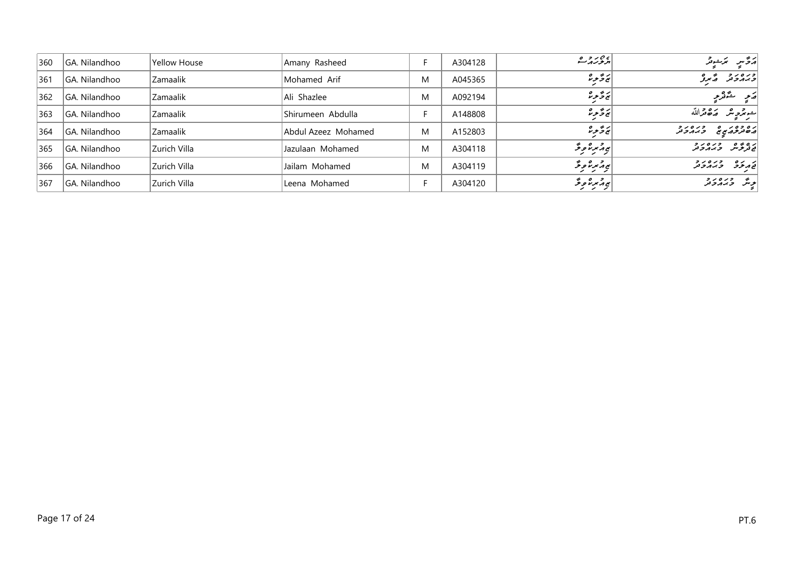| 360 | IGA. Nilandhoo        | Yellow House | Amany Rasheed       |   | A304128 | پره پر چه ه<br>  <del>مرغه برج</del> ر | أروح برجور                           |
|-----|-----------------------|--------------|---------------------|---|---------|----------------------------------------|--------------------------------------|
| 361 | <b>IGA. Nilandhoo</b> | Zamaalik     | Mohamed Arif        | M | A045365 | ئے قرمر م                              | وره دو و و                           |
| 362 | <b>GA. Nilandhoo</b>  | Zamaalik     | Ali Shazlee         | M | A092194 | ئے قرمر م                              | ړَم شَوْمِ                           |
| 363 | IGA. Nilandhoo        | Zamaalik     | Shirumeen Abdulla   |   | A148808 | ئے قرمر م                              | شومرتويند الاقتدالله                 |
| 364 | <b>IGA. Nilandhoo</b> | Zamaalik     | Abdul Azeez Mohamed | M | A152803 | ىئ پەر بۇ                              | גפרסגם כגםגרב<br>השנתה איש כגתכת     |
| 365 | <b>GA. Nilandhoo</b>  | Zurich Villa | Jazulaan Mohamed    | M | A304118 | يى ئەسرىئا ھەقىر                       | رەپ ھەدەر د<br>  يى ئىرقى سىسى ھەدىر |
| 366 | <b>IGA. Nilandhoo</b> | Zurich Villa | Jailam Mohamed      | M | A304119 | پرجمبر شمر محر                         | نے مرتز ژ<br>و رە ر د<br>تر پر پر تر |
| 367 | IGA. Nilandhoo        | Zurich Villa | Leena Mohamed       |   | A304120 | يى ئەسرىئا ھەقىر                       | پیش دیرورو                           |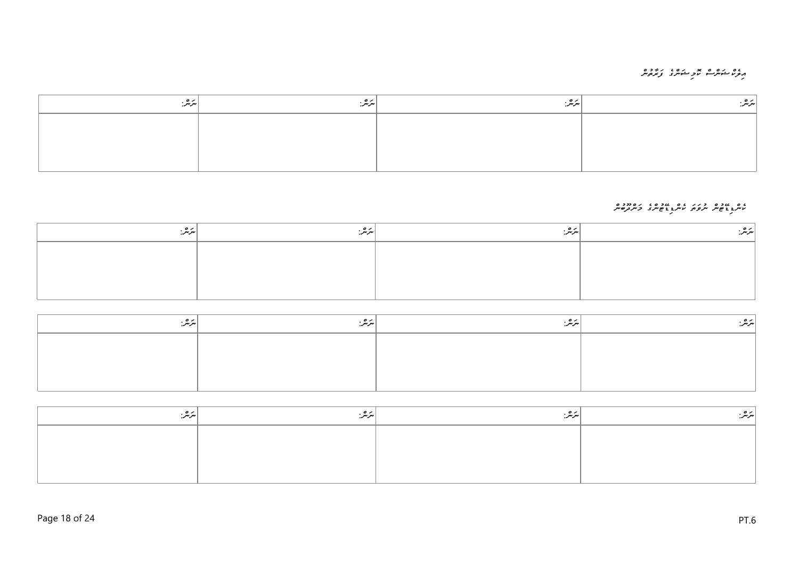## *w7qAn8m?sCw7mRo>u;wEw7mRw;sBo<*

| ' مرمر | 'يئرىثر: |
|--------|----------|
|        |          |
|        |          |
|        |          |

## *w7q9r@w7m>sCw7qHtFoFw7s;mAm=q7w7qHtFoFw7s;*

| يئرمىش: | $^{\circ}$<br>. سر سر<br>$\cdot$ | $\circ$ $\sim$<br>-- | يئرمثر |
|---------|----------------------------------|----------------------|--------|
|         |                                  |                      |        |
|         |                                  |                      |        |
|         |                                  |                      |        |

| يره | $^{\circ}$ | $\frac{2}{n}$ | $^{\circ}$<br>سرسر. |
|-----|------------|---------------|---------------------|
|     |            |               |                     |
|     |            |               |                     |
|     |            |               |                     |

| ىرتىر: | 。<br>سر سر | .,<br>مرسر |
|--------|------------|------------|
|        |            |            |
|        |            |            |
|        |            |            |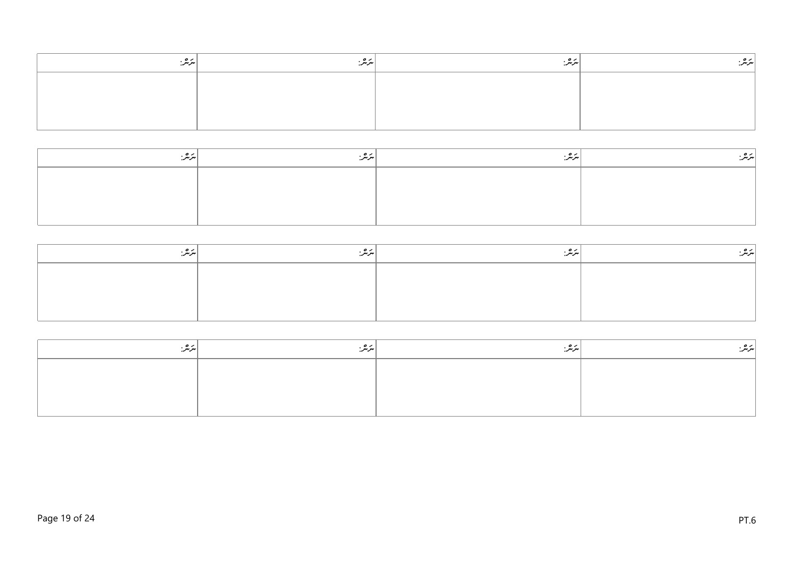| يره. | ο. | ا ير ه |  |
|------|----|--------|--|
|      |    |        |  |
|      |    |        |  |
|      |    |        |  |

| متريثر به | 。<br>'سرسر'۔ | يتزيترا | سرسر |
|-----------|--------------|---------|------|
|           |              |         |      |
|           |              |         |      |
|           |              |         |      |

| ىئرىتر. | $\sim$ | ا بر هه. | لىرىش |
|---------|--------|----------|-------|
|         |        |          |       |
|         |        |          |       |
|         |        |          |       |

| 。<br>مرس. | $\overline{\phantom{a}}$<br>مر مىر | يتريثر |
|-----------|------------------------------------|--------|
|           |                                    |        |
|           |                                    |        |
|           |                                    |        |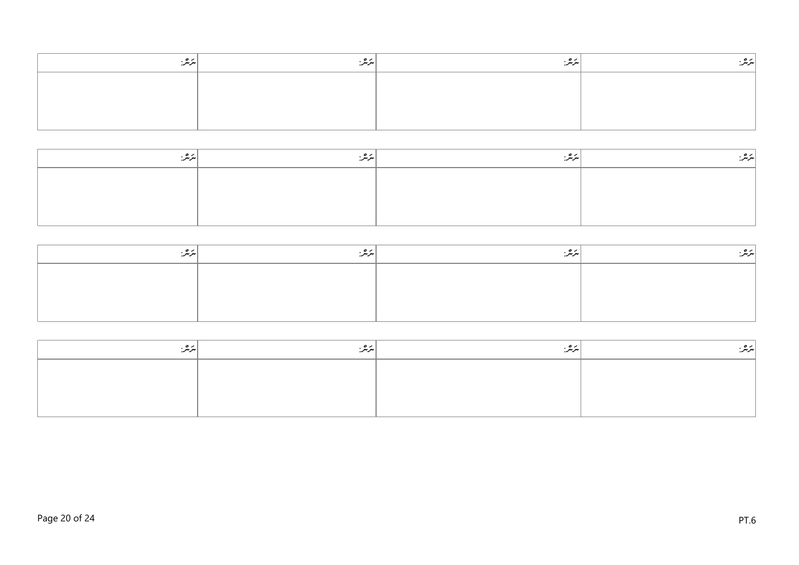| ير هو . | $\overline{\phantom{a}}$ | يرمر | اير هنه. |
|---------|--------------------------|------|----------|
|         |                          |      |          |
|         |                          |      |          |
|         |                          |      |          |

| ىر تىر: | $\circ$ $\sim$<br>" سرسر . | يبرحه | o . |
|---------|----------------------------|-------|-----|
|         |                            |       |     |
|         |                            |       |     |
|         |                            |       |     |

| انترنثر: | ر ه |  |
|----------|-----|--|
|          |     |  |
|          |     |  |
|          |     |  |

|  | . ه |
|--|-----|
|  |     |
|  |     |
|  |     |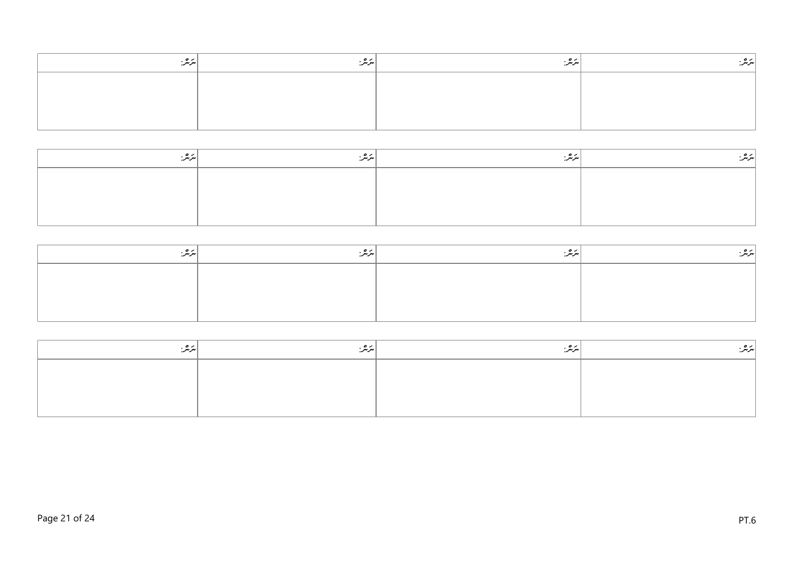| ير هو . | $\overline{\phantom{a}}$ | يرمر | اير هنه. |
|---------|--------------------------|------|----------|
|         |                          |      |          |
|         |                          |      |          |
|         |                          |      |          |

| ىبرىر. | $\sim$<br>ا سرسر . | يئرمثر | o . |
|--------|--------------------|--------|-----|
|        |                    |        |     |
|        |                    |        |     |
|        |                    |        |     |

| كترنثر: | 。 | 。<br>سمرسمد. | o <i>~</i> |
|---------|---|--------------|------------|
|         |   |              |            |
|         |   |              |            |
|         |   |              |            |

|  | . ه |
|--|-----|
|  |     |
|  |     |
|  |     |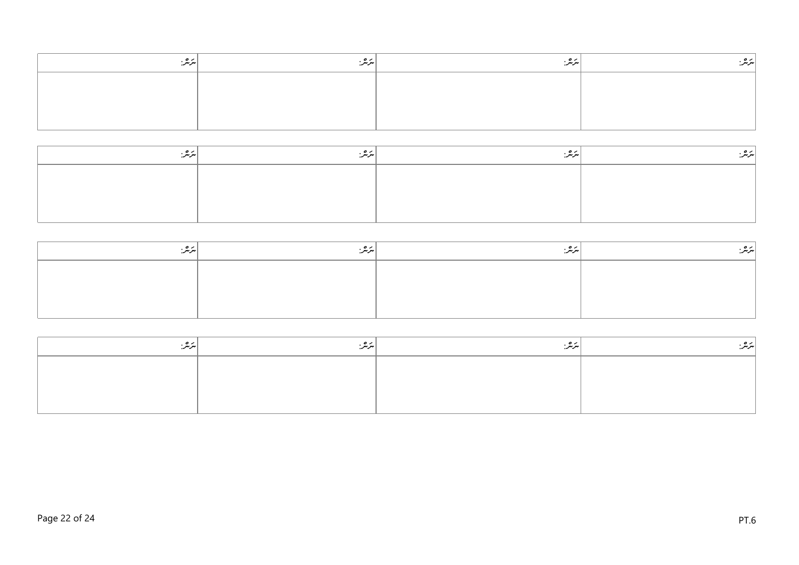| $\cdot$ | 。 | $\frac{\circ}{\cdot}$ | $\sim$<br>سرسر |
|---------|---|-----------------------|----------------|
|         |   |                       |                |
|         |   |                       |                |
|         |   |                       |                |

| يريثن | ' سرسر . |  |
|-------|----------|--|
|       |          |  |
|       |          |  |
|       |          |  |

| بر ه | . ه | $\sim$<br>سرسر |  |
|------|-----|----------------|--|
|      |     |                |  |
|      |     |                |  |
|      |     |                |  |

| 。<br>. س | ىرىىر |  |
|----------|-------|--|
|          |       |  |
|          |       |  |
|          |       |  |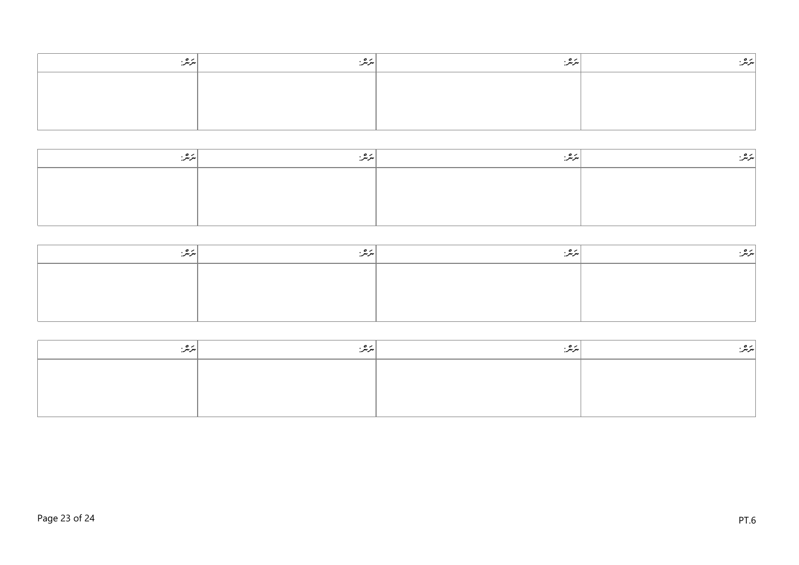| ير هو . | $\overline{\phantom{a}}$ | يرمر | اير هنه. |
|---------|--------------------------|------|----------|
|         |                          |      |          |
|         |                          |      |          |
|         |                          |      |          |

| ىر تىر: | $\circ$ $\sim$<br>" سرسر . | يبرحه | o . |
|---------|----------------------------|-------|-----|
|         |                            |       |     |
|         |                            |       |     |
|         |                            |       |     |

| انترنثر: | ر ه |  |
|----------|-----|--|
|          |     |  |
|          |     |  |
|          |     |  |

|  | . ه |
|--|-----|
|  |     |
|  |     |
|  |     |